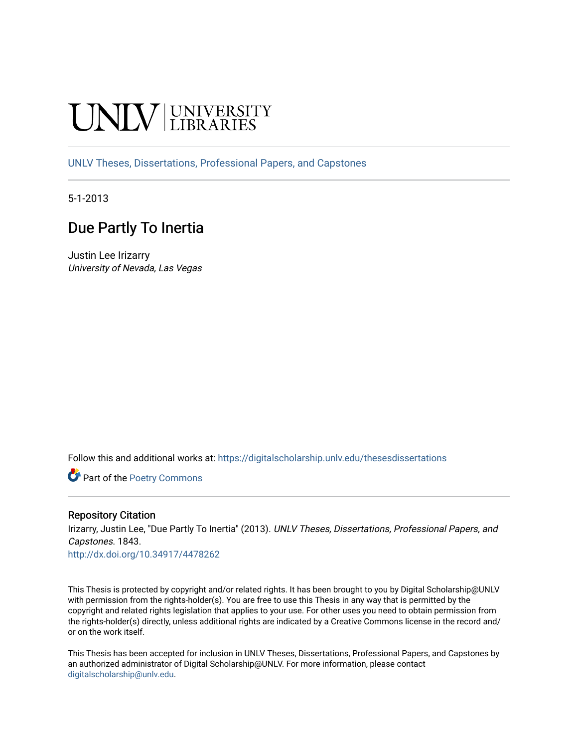# **INIVERSITY**

[UNLV Theses, Dissertations, Professional Papers, and Capstones](https://digitalscholarship.unlv.edu/thesesdissertations)

5-1-2013

# Due Partly To Inertia

Justin Lee Irizarry University of Nevada, Las Vegas

Follow this and additional works at: [https://digitalscholarship.unlv.edu/thesesdissertations](https://digitalscholarship.unlv.edu/thesesdissertations?utm_source=digitalscholarship.unlv.edu%2Fthesesdissertations%2F1843&utm_medium=PDF&utm_campaign=PDFCoverPages)

Part of the [Poetry Commons](http://network.bepress.com/hgg/discipline/1153?utm_source=digitalscholarship.unlv.edu%2Fthesesdissertations%2F1843&utm_medium=PDF&utm_campaign=PDFCoverPages) 

#### Repository Citation

Irizarry, Justin Lee, "Due Partly To Inertia" (2013). UNLV Theses, Dissertations, Professional Papers, and Capstones. 1843.

<http://dx.doi.org/10.34917/4478262>

This Thesis is protected by copyright and/or related rights. It has been brought to you by Digital Scholarship@UNLV with permission from the rights-holder(s). You are free to use this Thesis in any way that is permitted by the copyright and related rights legislation that applies to your use. For other uses you need to obtain permission from the rights-holder(s) directly, unless additional rights are indicated by a Creative Commons license in the record and/ or on the work itself.

This Thesis has been accepted for inclusion in UNLV Theses, Dissertations, Professional Papers, and Capstones by an authorized administrator of Digital Scholarship@UNLV. For more information, please contact [digitalscholarship@unlv.edu](mailto:digitalscholarship@unlv.edu).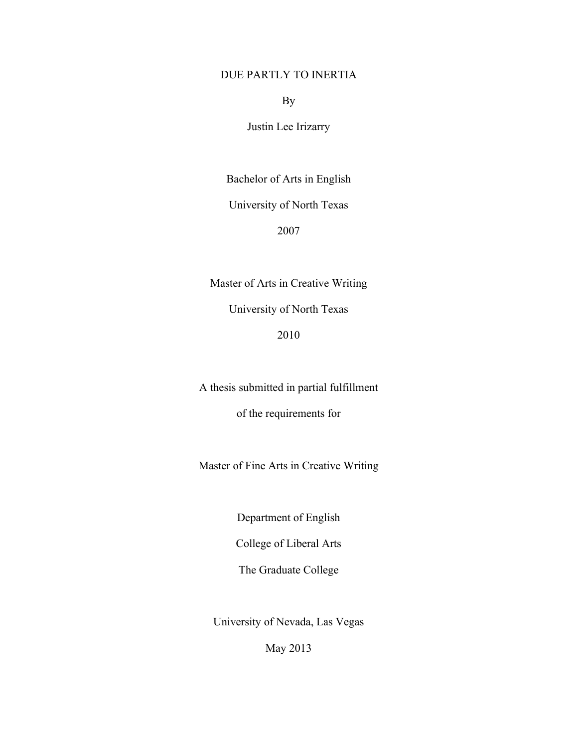### DUE PARTLY TO INERTIA

By

Justin Lee Irizarry

Bachelor of Arts in English

University of North Texas

2007

Master of Arts in Creative Writing University of North Texas

2010

A thesis submitted in partial fulfillment

of the requirements for

Master of Fine Arts in Creative Writing

Department of English

College of Liberal Arts

The Graduate College

University of Nevada, Las Vegas

May 2013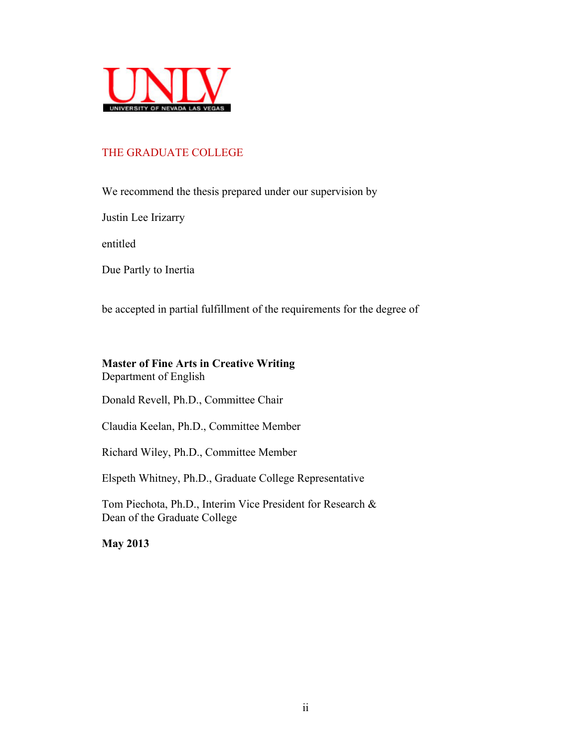

## THE GRADUATE COLLEGE

We recommend the thesis prepared under our supervision by

Justin Lee Irizarry

entitled

Due Partly to Inertia

be accepted in partial fulfillment of the requirements for the degree of

# **Master of Fine Arts in Creative Writing**

Department of English

Donald Revell, Ph.D., Committee Chair

Claudia Keelan, Ph.D., Committee Member

Richard Wiley, Ph.D., Committee Member

Elspeth Whitney, Ph.D., Graduate College Representative

Tom Piechota, Ph.D., Interim Vice President for Research & Dean of the Graduate College

**May 2013**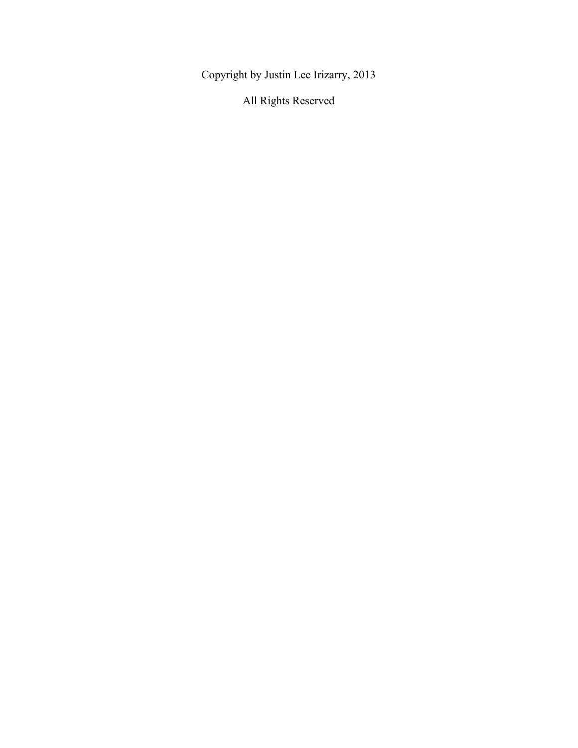Copyright by Justin Lee Irizarry, 2013

All Rights Reserved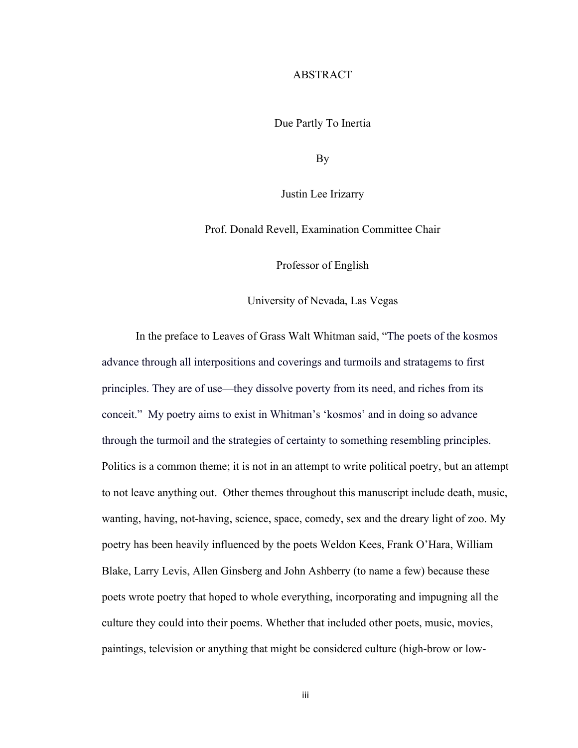#### ABSTRACT

Due Partly To Inertia

By

Justin Lee Irizarry

Prof. Donald Revell, Examination Committee Chair

Professor of English

University of Nevada, Las Vegas

In the preface to Leaves of Grass Walt Whitman said, "The poets of the kosmos advance through all interpositions and coverings and turmoils and stratagems to first principles. They are of use—they dissolve poverty from its need, and riches from its conceit." My poetry aims to exist in Whitman's 'kosmos' and in doing so advance through the turmoil and the strategies of certainty to something resembling principles. Politics is a common theme; it is not in an attempt to write political poetry, but an attempt to not leave anything out. Other themes throughout this manuscript include death, music, wanting, having, not-having, science, space, comedy, sex and the dreary light of zoo. My poetry has been heavily influenced by the poets Weldon Kees, Frank O'Hara, William Blake, Larry Levis, Allen Ginsberg and John Ashberry (to name a few) because these poets wrote poetry that hoped to whole everything, incorporating and impugning all the culture they could into their poems. Whether that included other poets, music, movies, paintings, television or anything that might be considered culture (high-brow or low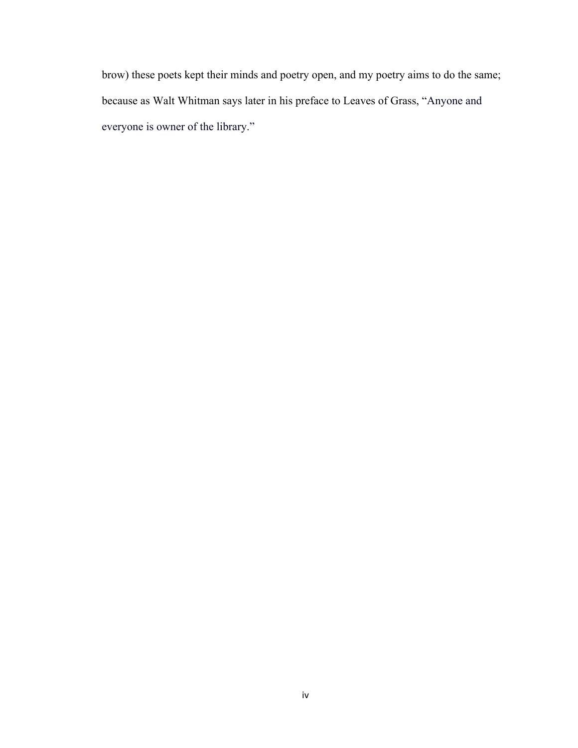brow) these poets kept their minds and poetry open, and my poetry aims to do the same; because as Walt Whitman says later in his preface to Leaves of Grass, "Anyone and everyone is owner of the library."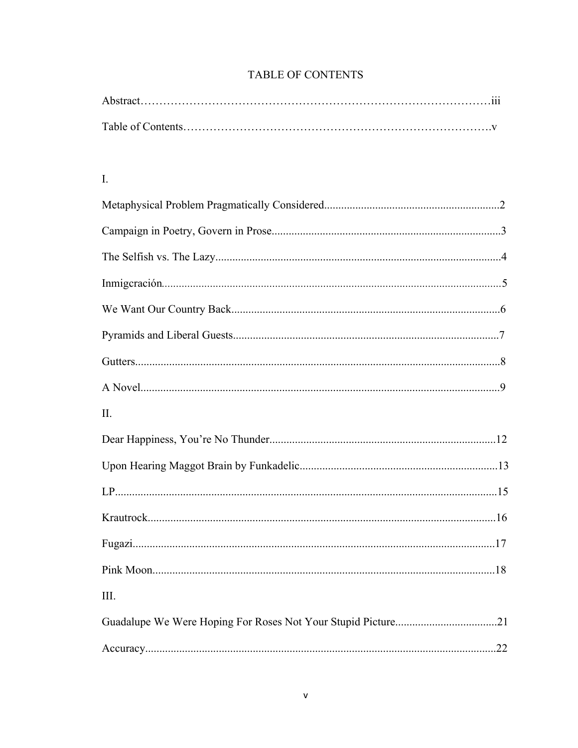# TABLE OF CONTENTS

| $\cdots$ |
|----------|
|          |
|          |

# $\bar{\rm L}$

| II. |  |
|-----|--|
|     |  |
|     |  |
|     |  |
|     |  |
|     |  |
|     |  |
| Ш.  |  |
|     |  |
|     |  |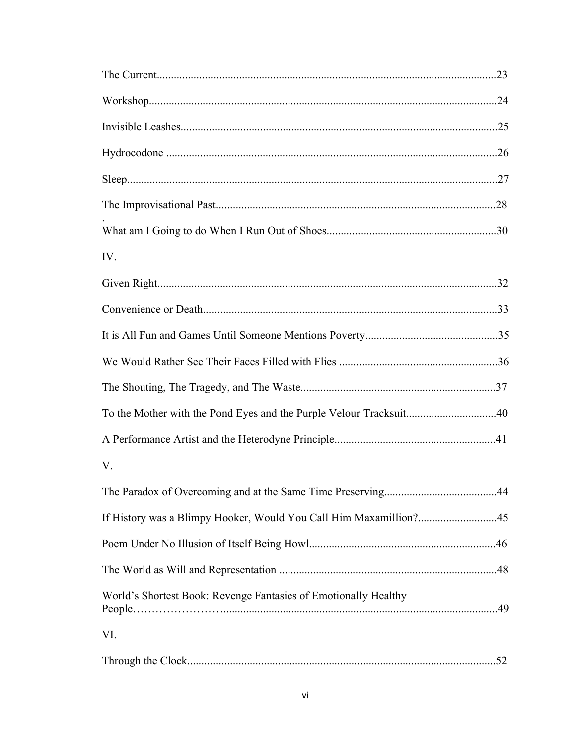| IV.                                                                |  |
|--------------------------------------------------------------------|--|
|                                                                    |  |
|                                                                    |  |
|                                                                    |  |
|                                                                    |  |
|                                                                    |  |
| To the Mother with the Pond Eyes and the Purple Velour Tracksuit40 |  |
|                                                                    |  |
| V.                                                                 |  |
|                                                                    |  |
| If History was a Blimpy Hooker, Would You Call Him Maxamillion?45  |  |
|                                                                    |  |
|                                                                    |  |
| World's Shortest Book: Revenge Fantasies of Emotionally Healthy    |  |
| VI.                                                                |  |
|                                                                    |  |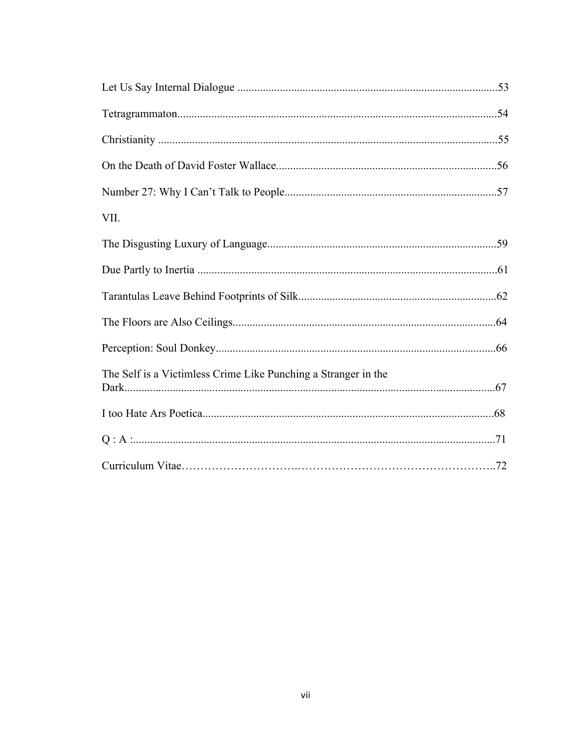| VII.                                                           |  |
|----------------------------------------------------------------|--|
|                                                                |  |
|                                                                |  |
|                                                                |  |
|                                                                |  |
|                                                                |  |
| The Self is a Victimless Crime Like Punching a Stranger in the |  |
|                                                                |  |
|                                                                |  |
|                                                                |  |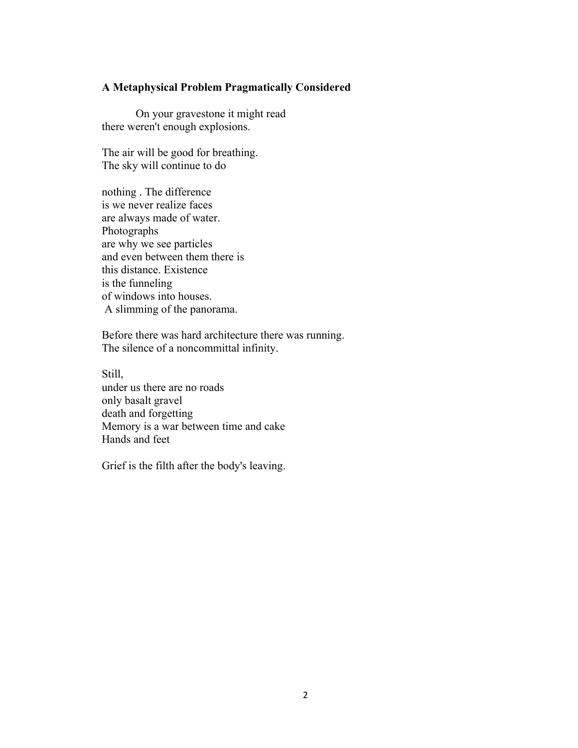#### **A Metaphysical Problem Pragmatically Considered**

On your gravestone it might read there weren't enough explosions.

The air will be good for breathing. The sky will continue to do

nothing . The difference is we never realize faces are always made of water. Photographs are why we see particles and even between them there is this distance. Existence is the funneling of windows into houses. A slimming of the panorama.

Before there was hard architecture there was running. The silence of a noncommittal infinity.

Still, under us there are no roads only basalt gravel death and forgetting Memory is a war between time and cake Hands and feet

Grief is the filth after the body's leaving.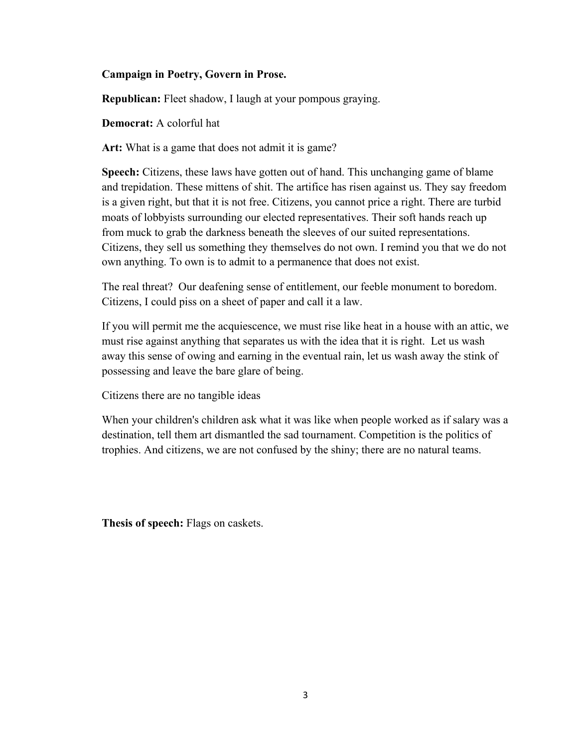#### **Campaign in Poetry, Govern in Prose.**

**Republican:** Fleet shadow, I laugh at your pompous graying.

**Democrat:** A colorful hat

**Art:** What is a game that does not admit it is game?

**Speech:** Citizens, these laws have gotten out of hand. This unchanging game of blame and trepidation. These mittens of shit. The artifice has risen against us. They say freedom is a given right, but that it is not free. Citizens, you cannot price a right. There are turbid moats of lobbyists surrounding our elected representatives. Their soft hands reach up from muck to grab the darkness beneath the sleeves of our suited representations. Citizens, they sell us something they themselves do not own. I remind you that we do not own anything. To own is to admit to a permanence that does not exist.

The real threat? Our deafening sense of entitlement, our feeble monument to boredom. Citizens, I could piss on a sheet of paper and call it a law.

If you will permit me the acquiescence, we must rise like heat in a house with an attic, we must rise against anything that separates us with the idea that it is right. Let us wash away this sense of owing and earning in the eventual rain, let us wash away the stink of possessing and leave the bare glare of being.

Citizens there are no tangible ideas

When your children's children ask what it was like when people worked as if salary was a destination, tell them art dismantled the sad tournament. Competition is the politics of trophies. And citizens, we are not confused by the shiny; there are no natural teams.

**Thesis of speech:** Flags on caskets.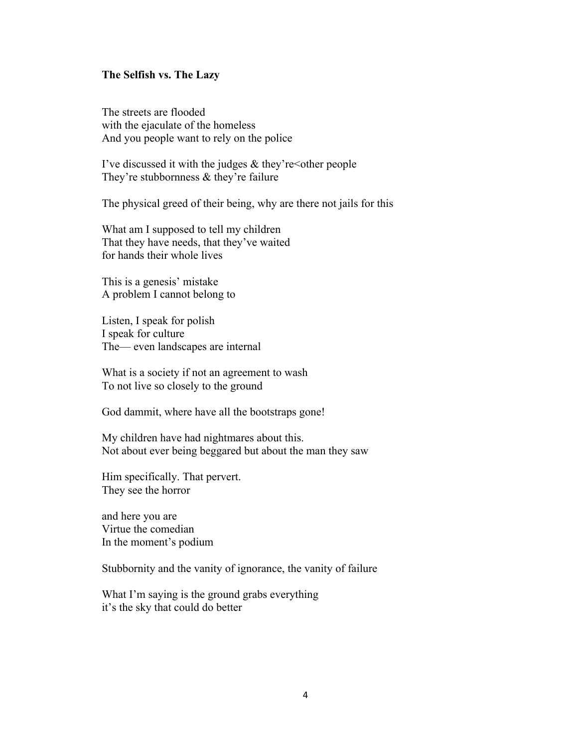#### **The Selfish vs. The Lazy**

The streets are flooded with the ejaculate of the homeless And you people want to rely on the police

I've discussed it with the judges  $&$  they're  $<$  other people They're stubbornness & they're failure

The physical greed of their being, why are there not jails for this

What am I supposed to tell my children That they have needs, that they've waited for hands their whole lives

This is a genesis' mistake A problem I cannot belong to

Listen, I speak for polish I speak for culture The–– even landscapes are internal

What is a society if not an agreement to wash To not live so closely to the ground

God dammit, where have all the bootstraps gone!

My children have had nightmares about this. Not about ever being beggared but about the man they saw

Him specifically. That pervert. They see the horror

and here you are Virtue the comedian In the moment's podium

Stubbornity and the vanity of ignorance, the vanity of failure

What I'm saying is the ground grabs everything it's the sky that could do better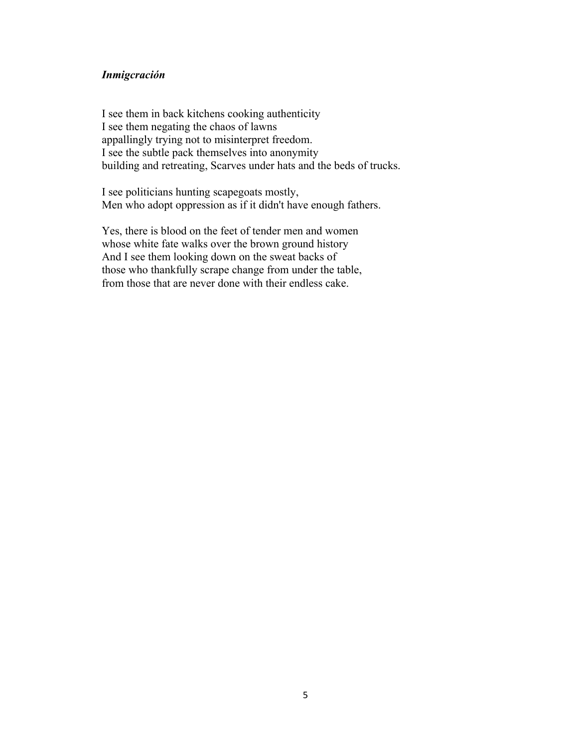#### *Inmigcración*

I see them in back kitchens cooking authenticity I see them negating the chaos of lawns appallingly trying not to misinterpret freedom. I see the subtle pack themselves into anonymity building and retreating, Scarves under hats and the beds of trucks.

I see politicians hunting scapegoats mostly, Men who adopt oppression as if it didn't have enough fathers.

Yes, there is blood on the feet of tender men and women whose white fate walks over the brown ground history And I see them looking down on the sweat backs of those who thankfully scrape change from under the table, from those that are never done with their endless cake.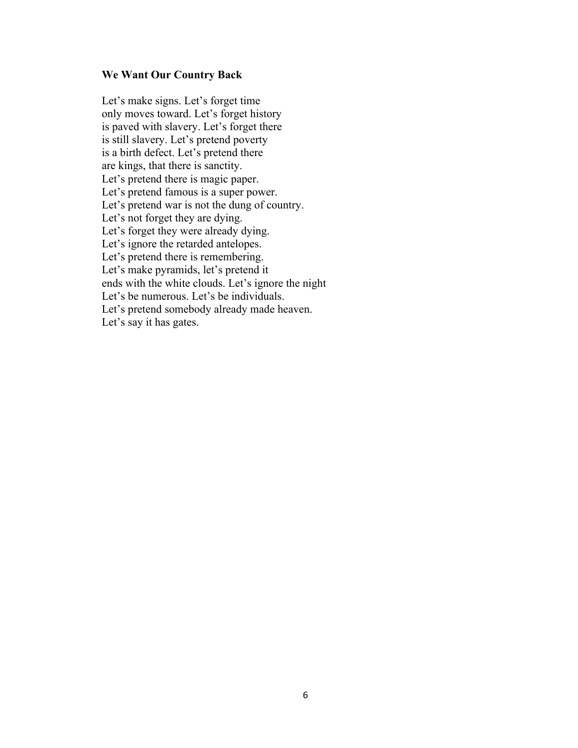#### **We Want Our Country Back**

Let's make signs. Let's forget time only moves toward. Let's forget history is paved with slavery. Let's forget there is still slavery. Let's pretend poverty is a birth defect. Let's pretend there are kings, that there is sanctity. Let's pretend there is magic paper. Let's pretend famous is a super power. Let's pretend war is not the dung of country. Let's not forget they are dying. Let's forget they were already dying. Let's ignore the retarded antelopes. Let's pretend there is remembering. Let's make pyramids, let's pretend it ends with the white clouds. Let's ignore the night Let's be numerous. Let's be individuals. Let's pretend somebody already made heaven. Let's say it has gates.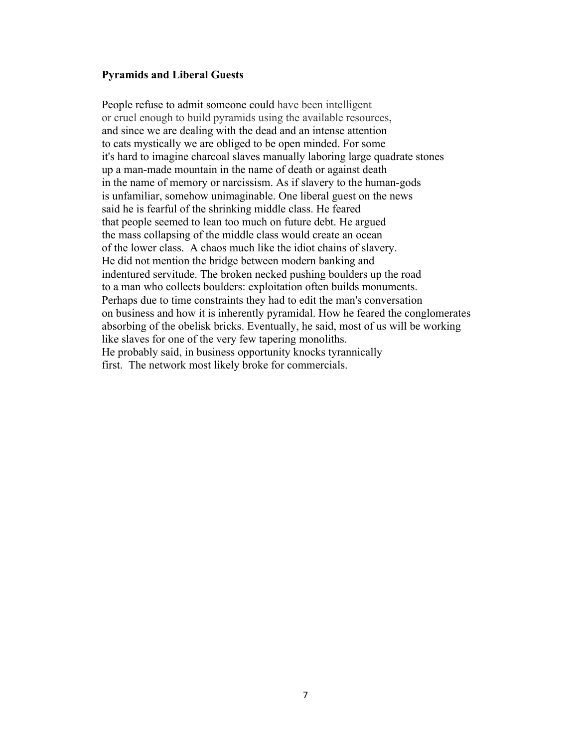#### **Pyramids and Liberal Guests**

People refuse to admit someone could have been intelligent or cruel enough to build pyramids using the available resources, and since we are dealing with the dead and an intense attention to cats mystically we are obliged to be open minded. For some it's hard to imagine charcoal slaves manually laboring large quadrate stones up a man-made mountain in the name of death or against death in the name of memory or narcissism. As if slavery to the human-gods is unfamiliar, somehow unimaginable. One liberal guest on the news said he is fearful of the shrinking middle class. He feared that people seemed to lean too much on future debt. He argued the mass collapsing of the middle class would create an ocean of the lower class. A chaos much like the idiot chains of slavery. He did not mention the bridge between modern banking and indentured servitude. The broken necked pushing boulders up the road to a man who collects boulders: exploitation often builds monuments. Perhaps due to time constraints they had to edit the man's conversation on business and how it is inherently pyramidal. How he feared the conglomerates absorbing of the obelisk bricks. Eventually, he said, most of us will be working like slaves for one of the very few tapering monoliths. He probably said, in business opportunity knocks tyrannically first. The network most likely broke for commercials.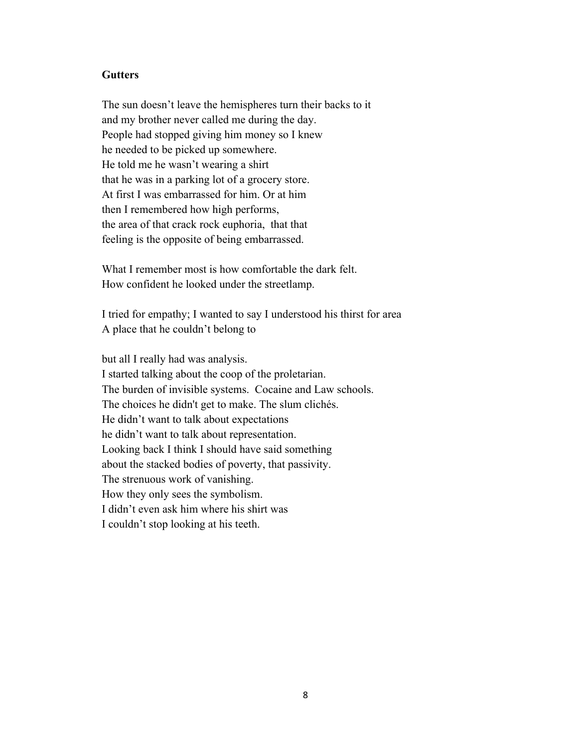#### **Gutters**

The sun doesn't leave the hemispheres turn their backs to it and my brother never called me during the day. People had stopped giving him money so I knew he needed to be picked up somewhere. He told me he wasn't wearing a shirt that he was in a parking lot of a grocery store. At first I was embarrassed for him. Or at him then I remembered how high performs, the area of that crack rock euphoria, that that feeling is the opposite of being embarrassed.

What I remember most is how comfortable the dark felt. How confident he looked under the streetlamp.

I tried for empathy; I wanted to say I understood his thirst for area A place that he couldn't belong to

but all I really had was analysis. I started talking about the coop of the proletarian. The burden of invisible systems. Cocaine and Law schools. The choices he didn't get to make. The slum clichés. He didn't want to talk about expectations he didn't want to talk about representation. Looking back I think I should have said something about the stacked bodies of poverty, that passivity. The strenuous work of vanishing. How they only sees the symbolism. I didn't even ask him where his shirt was I couldn't stop looking at his teeth.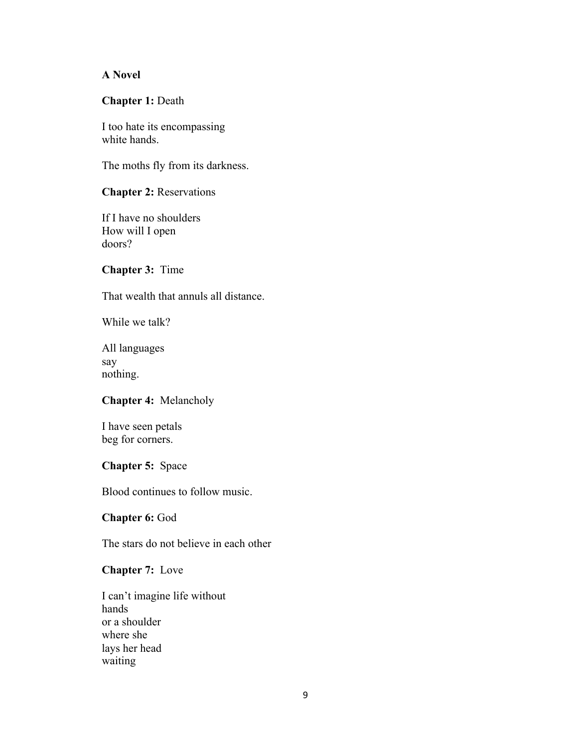#### **A Novel**

#### **Chapter 1:** Death

I too hate its encompassing white hands.

The moths fly from its darkness.

#### **Chapter 2:** Reservations

If I have no shoulders How will I open doors?

#### **Chapter 3:** Time

That wealth that annuls all distance.

While we talk?

All languages say nothing.

#### **Chapter 4:** Melancholy

I have seen petals beg for corners.

#### **Chapter 5:** Space

Blood continues to follow music.

**Chapter 6:** God

The stars do not believe in each other

#### **Chapter 7:** Love

I can't imagine life without hands or a shoulder where she lays her head waiting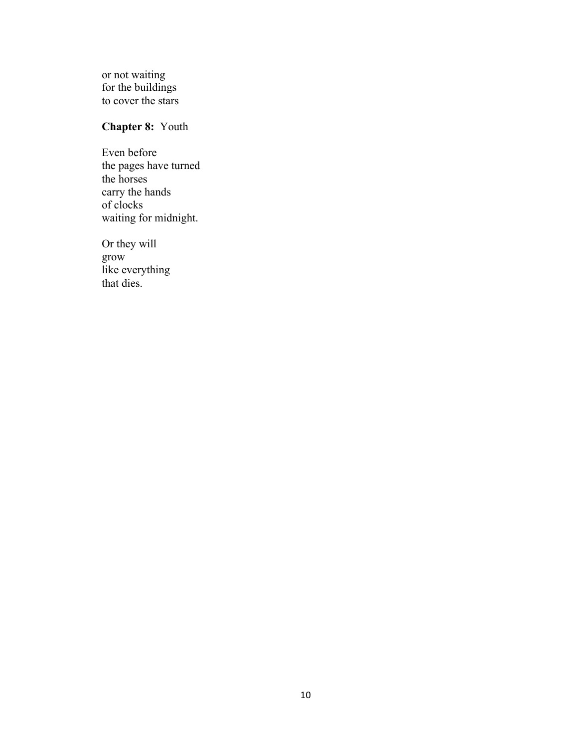or not waiting for the buildings to cover the stars

# **Chapter 8:** Youth

Even before the pages have turned the horses carry the hands of clocks waiting for midnight.

Or they will grow like everything that dies.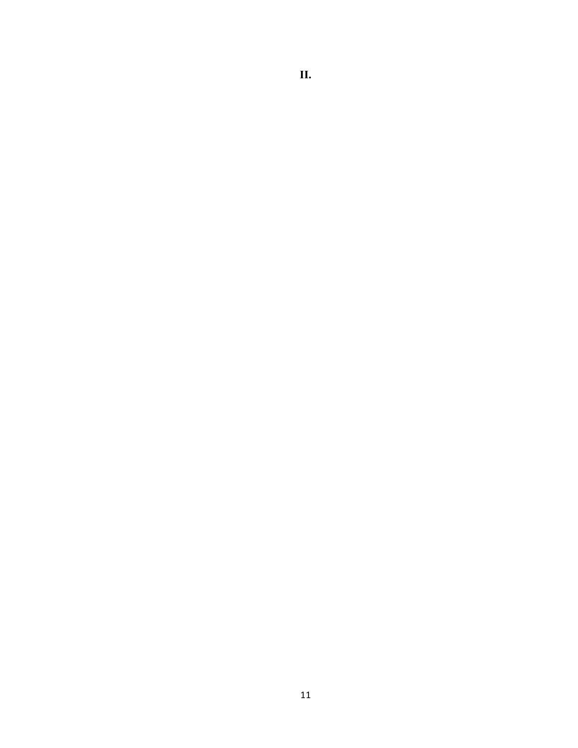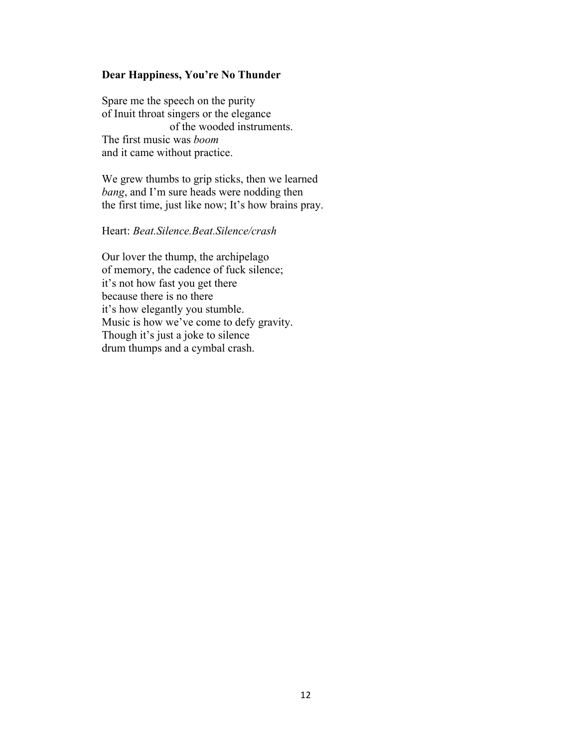# **Dear Happiness, You're No Thunder**

Spare me the speech on the purity of Inuit throat singers or the elegance of the wooded instruments. The first music was *boom* and it came without practice.

We grew thumbs to grip sticks, then we learned *bang*, and I'm sure heads were nodding then the first time, just like now; It's how brains pray.

#### Heart: *Beat.Silence.Beat.Silence/crash*

Our lover the thump, the archipelago of memory, the cadence of fuck silence; it's not how fast you get there because there is no there it's how elegantly you stumble. Music is how we've come to defy gravity. Though it's just a joke to silence drum thumps and a cymbal crash.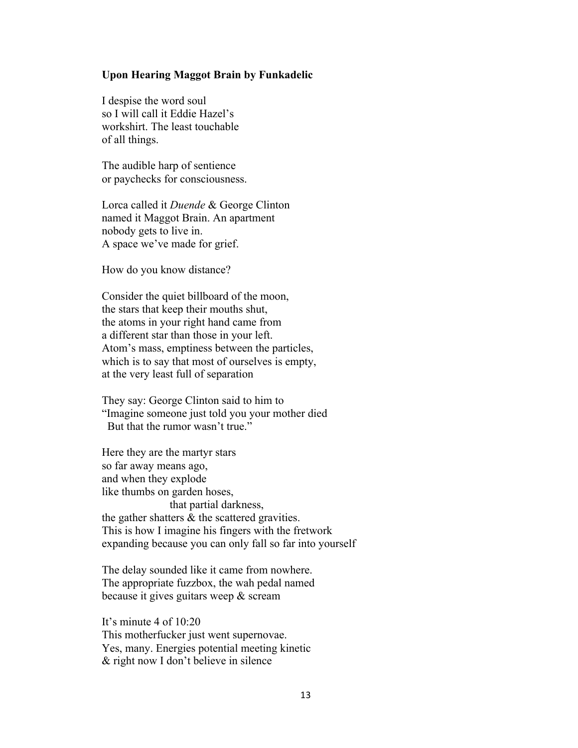#### **Upon Hearing Maggot Brain by Funkadelic**

I despise the word soul so I will call it Eddie Hazel's workshirt. The least touchable of all things.

The audible harp of sentience or paychecks for consciousness.

Lorca called it *Duende* & George Clinton named it Maggot Brain. An apartment nobody gets to live in. A space we've made for grief.

How do you know distance?

Consider the quiet billboard of the moon, the stars that keep their mouths shut, the atoms in your right hand came from a different star than those in your left. Atom's mass, emptiness between the particles, which is to say that most of ourselves is empty, at the very least full of separation

They say: George Clinton said to him to "Imagine someone just told you your mother died But that the rumor wasn't true."

Here they are the martyr stars so far away means ago, and when they explode like thumbs on garden hoses, that partial darkness, the gather shatters & the scattered gravities. This is how I imagine his fingers with the fretwork expanding because you can only fall so far into yourself

The delay sounded like it came from nowhere. The appropriate fuzzbox, the wah pedal named because it gives guitars weep & scream

It's minute 4 of 10:20 This motherfucker just went supernovae. Yes, many. Energies potential meeting kinetic & right now I don't believe in silence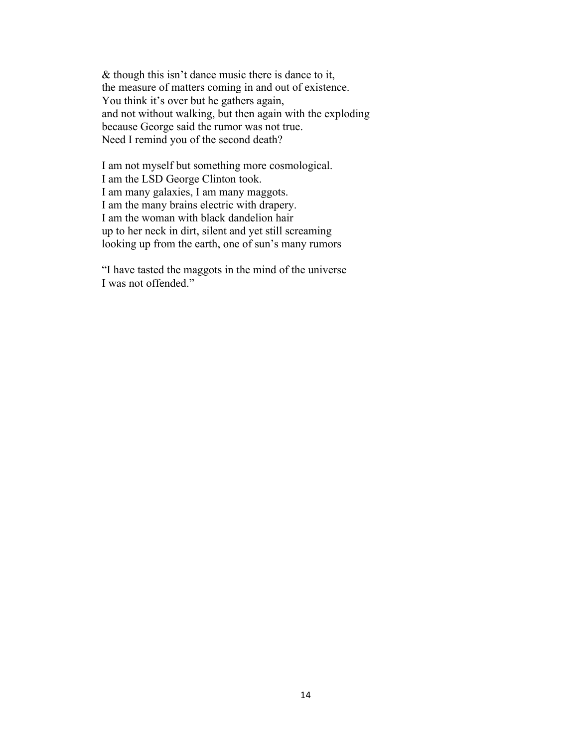& though this isn't dance music there is dance to it, the measure of matters coming in and out of existence. You think it's over but he gathers again, and not without walking, but then again with the exploding because George said the rumor was not true. Need I remind you of the second death?

I am not myself but something more cosmological. I am the LSD George Clinton took. I am many galaxies, I am many maggots. I am the many brains electric with drapery. I am the woman with black dandelion hair up to her neck in dirt, silent and yet still screaming looking up from the earth, one of sun's many rumors

"I have tasted the maggots in the mind of the universe I was not offended."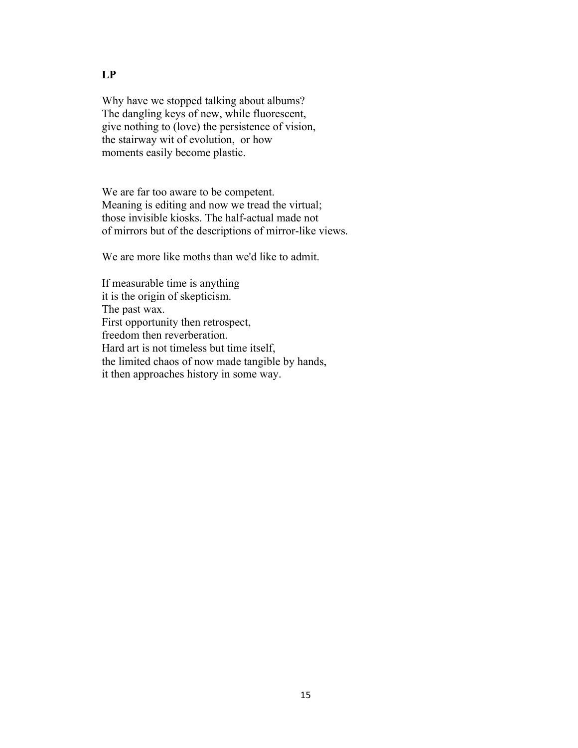Why have we stopped talking about albums? The dangling keys of new, while fluorescent, give nothing to (love) the persistence of vision, the stairway wit of evolution, or how moments easily become plastic.

We are far too aware to be competent. Meaning is editing and now we tread the virtual; those invisible kiosks. The half-actual made not of mirrors but of the descriptions of mirror-like views.

We are more like moths than we'd like to admit.

If measurable time is anything it is the origin of skepticism. The past wax. First opportunity then retrospect, freedom then reverberation. Hard art is not timeless but time itself, the limited chaos of now made tangible by hands, it then approaches history in some way.

#### **LP**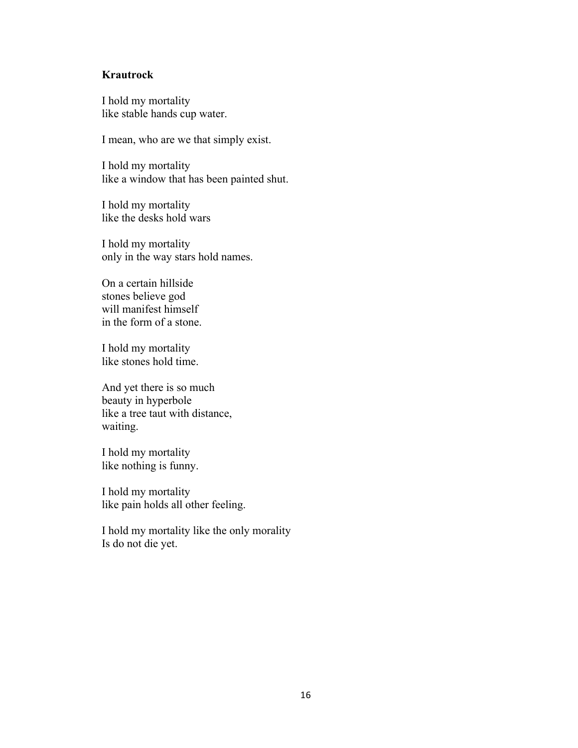#### **Krautrock**

I hold my mortality like stable hands cup water.

I mean, who are we that simply exist.

I hold my mortality like a window that has been painted shut.

I hold my mortality like the desks hold wars

I hold my mortality only in the way stars hold names.

On a certain hillside stones believe god will manifest himself in the form of a stone.

I hold my mortality like stones hold time.

And yet there is so much beauty in hyperbole like a tree taut with distance, waiting.

I hold my mortality like nothing is funny.

I hold my mortality like pain holds all other feeling.

I hold my mortality like the only morality Is do not die yet.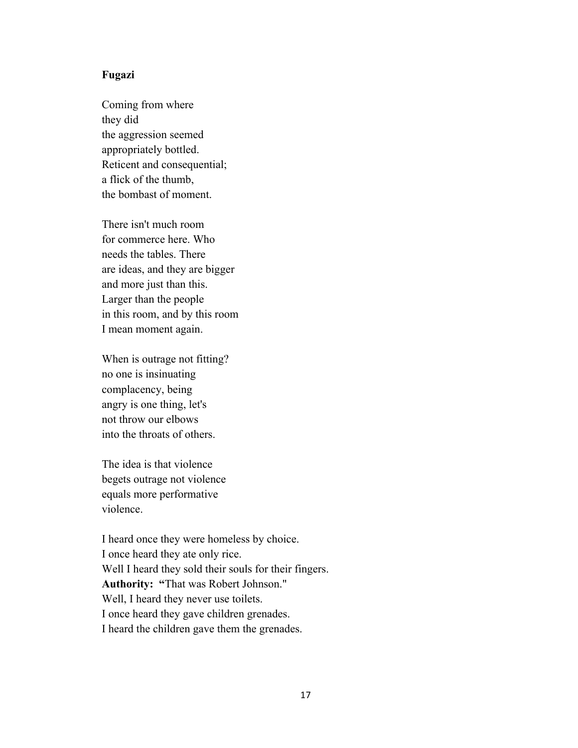#### **Fugazi**

Coming from where they did the aggression seemed appropriately bottled. Reticent and consequential; a flick of the thumb, the bombast of moment.

There isn't much room for commerce here. Who needs the tables. There are ideas, and they are bigger and more just than this. Larger than the people in this room, and by this room I mean moment again.

When is outrage not fitting? no one is insinuating complacency, being angry is one thing, let's not throw our elbows into the throats of others.

The idea is that violence begets outrage not violence equals more performative violence.

I heard once they were homeless by choice. I once heard they ate only rice. Well I heard they sold their souls for their fingers. **Authority: "**That was Robert Johnson." Well, I heard they never use toilets. I once heard they gave children grenades. I heard the children gave them the grenades.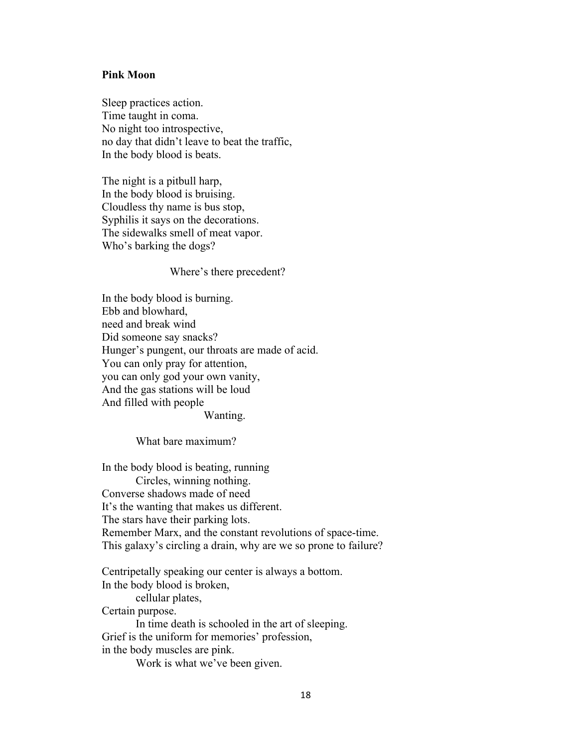#### **Pink Moon**

Sleep practices action. Time taught in coma. No night too introspective, no day that didn't leave to beat the traffic, In the body blood is beats.

The night is a pitbull harp, In the body blood is bruising. Cloudless thy name is bus stop, Syphilis it says on the decorations. The sidewalks smell of meat vapor. Who's barking the dogs?

#### Where's there precedent?

In the body blood is burning. Ebb and blowhard, need and break wind Did someone say snacks? Hunger's pungent, our throats are made of acid. You can only pray for attention, you can only god your own vanity, And the gas stations will be loud And filled with people

Wanting.

What bare maximum?

In the body blood is beating, running Circles, winning nothing. Converse shadows made of need It's the wanting that makes us different. The stars have their parking lots. Remember Marx, and the constant revolutions of space-time. This galaxy's circling a drain, why are we so prone to failure?

Centripetally speaking our center is always a bottom. In the body blood is broken, cellular plates, Certain purpose. In time death is schooled in the art of sleeping. Grief is the uniform for memories' profession, in the body muscles are pink.

Work is what we've been given.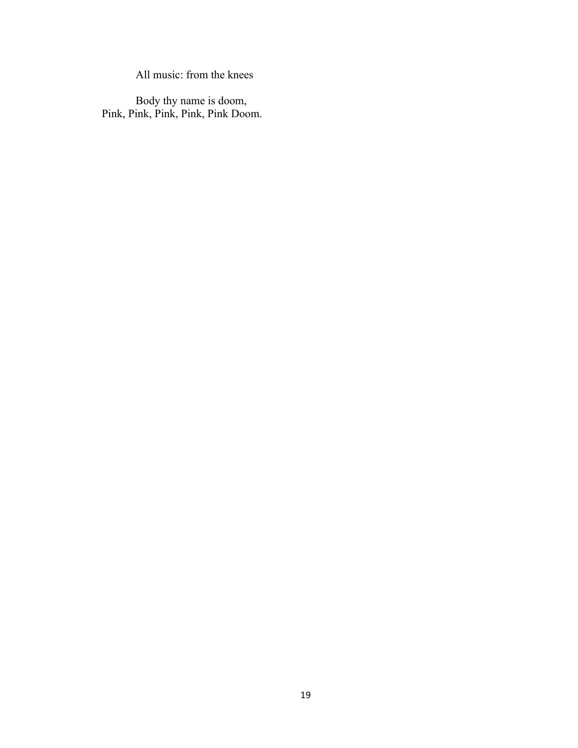All music: from the knees

Body thy name is doom, Pink, Pink, Pink, Pink, Pink Doom.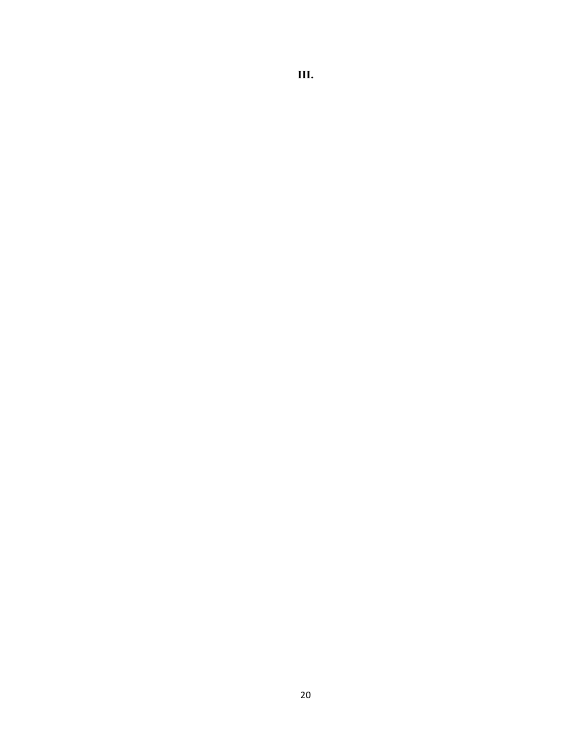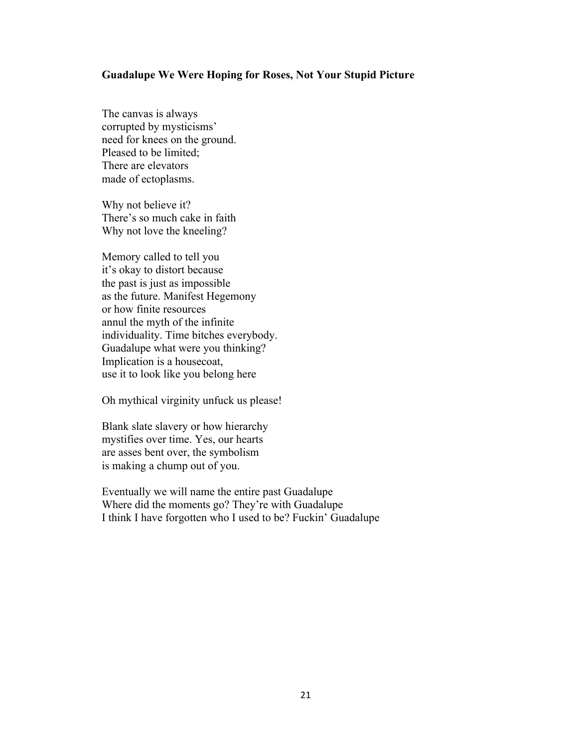#### **Guadalupe We Were Hoping for Roses, Not Your Stupid Picture**

The canvas is always corrupted by mysticisms' need for knees on the ground. Pleased to be limited; There are elevators made of ectoplasms.

Why not believe it? There's so much cake in faith Why not love the kneeling?

Memory called to tell you it's okay to distort because the past is just as impossible as the future. Manifest Hegemony or how finite resources annul the myth of the infinite individuality. Time bitches everybody. Guadalupe what were you thinking? Implication is a housecoat, use it to look like you belong here

Oh mythical virginity unfuck us please!

Blank slate slavery or how hierarchy mystifies over time. Yes, our hearts are asses bent over, the symbolism is making a chump out of you.

Eventually we will name the entire past Guadalupe Where did the moments go? They're with Guadalupe I think I have forgotten who I used to be? Fuckin' Guadalupe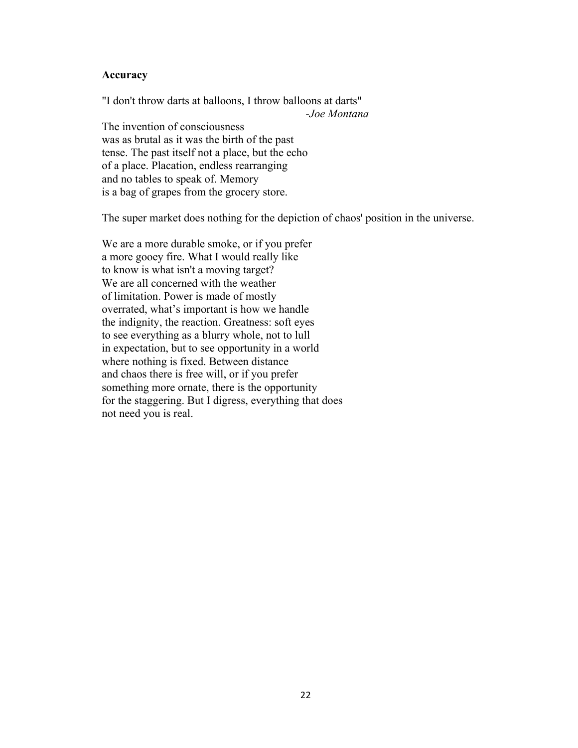#### **Accuracy**

"I don't throw darts at balloons, I throw balloons at darts" *-Joe Montana* The invention of consciousness was as brutal as it was the birth of the past tense. The past itself not a place, but the echo of a place. Placation, endless rearranging and no tables to speak of. Memory is a bag of grapes from the grocery store.

The super market does nothing for the depiction of chaos' position in the universe.

We are a more durable smoke, or if you prefer a more gooey fire. What I would really like to know is what isn't a moving target? We are all concerned with the weather of limitation. Power is made of mostly overrated, what's important is how we handle the indignity, the reaction. Greatness: soft eyes to see everything as a blurry whole, not to lull in expectation, but to see opportunity in a world where nothing is fixed. Between distance and chaos there is free will, or if you prefer something more ornate, there is the opportunity for the staggering. But I digress, everything that does not need you is real.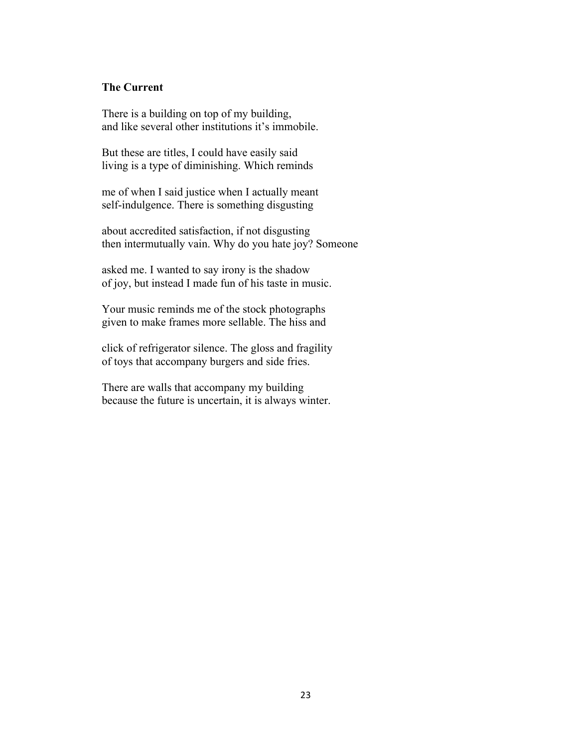#### **The Current**

There is a building on top of my building, and like several other institutions it's immobile.

But these are titles, I could have easily said living is a type of diminishing. Which reminds

me of when I said justice when I actually meant self-indulgence. There is something disgusting

about accredited satisfaction, if not disgusting then intermutually vain. Why do you hate joy? Someone

asked me. I wanted to say irony is the shadow of joy, but instead I made fun of his taste in music.

Your music reminds me of the stock photographs given to make frames more sellable. The hiss and

click of refrigerator silence. The gloss and fragility of toys that accompany burgers and side fries.

There are walls that accompany my building because the future is uncertain, it is always winter.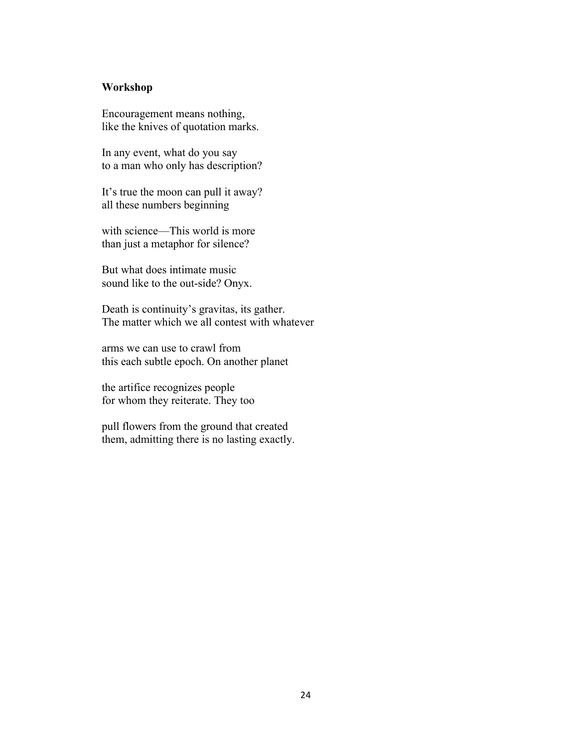#### **Workshop**

Encouragement means nothing, like the knives of quotation marks.

In any event, what do you say to a man who only has description?

It's true the moon can pull it away? all these numbers beginning

with science—This world is more than just a metaphor for silence?

But what does intimate music sound like to the out-side? Onyx.

Death is continuity's gravitas, its gather. The matter which we all contest with whatever

arms we can use to crawl from this each subtle epoch. On another planet

the artifice recognizes people for whom they reiterate. They too

pull flowers from the ground that created them, admitting there is no lasting exactly.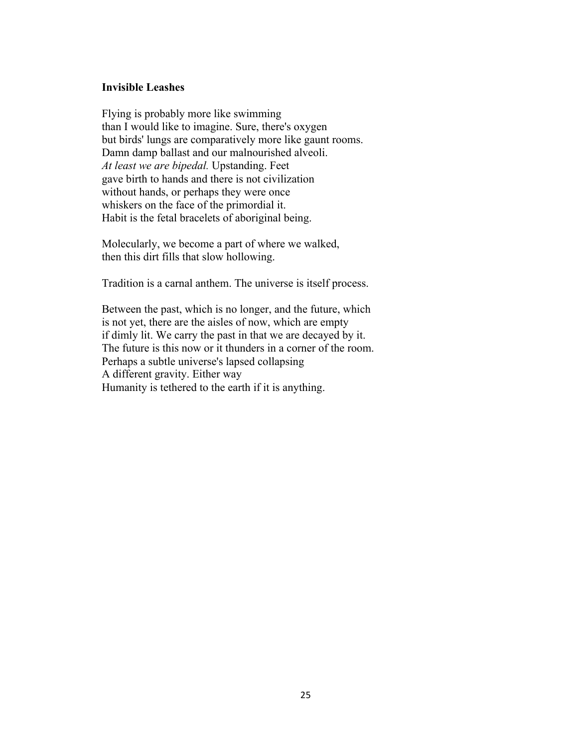#### **Invisible Leashes**

Flying is probably more like swimming than I would like to imagine. Sure, there's oxygen but birds' lungs are comparatively more like gaunt rooms. Damn damp ballast and our malnourished alveoli. *At least we are bipedal.* Upstanding. Feet gave birth to hands and there is not civilization without hands, or perhaps they were once whiskers on the face of the primordial it. Habit is the fetal bracelets of aboriginal being.

Molecularly, we become a part of where we walked, then this dirt fills that slow hollowing.

Tradition is a carnal anthem. The universe is itself process.

Between the past, which is no longer, and the future, which is not yet, there are the aisles of now, which are empty if dimly lit. We carry the past in that we are decayed by it. The future is this now or it thunders in a corner of the room. Perhaps a subtle universe's lapsed collapsing A different gravity. Either way Humanity is tethered to the earth if it is anything.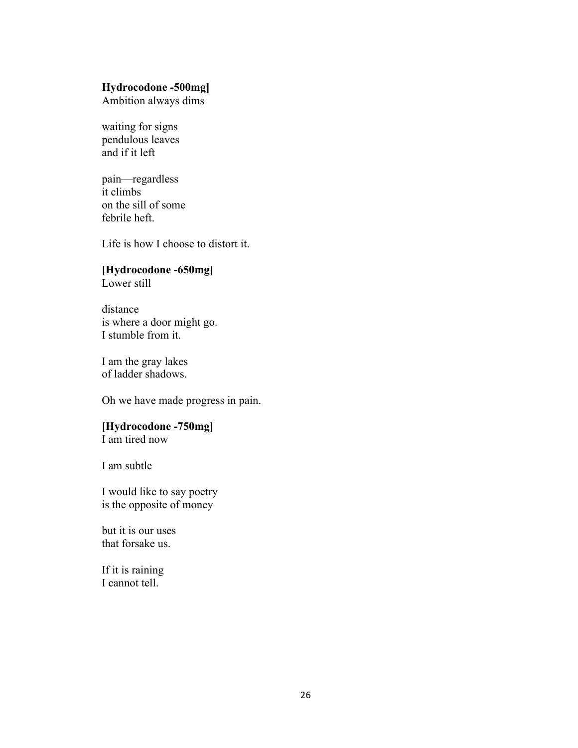#### **Hydrocodone -500mg]**

Ambition always dims

waiting for signs pendulous leaves and if it left

pain––regardless it climbs on the sill of some febrile heft.

Life is how I choose to distort it.

### **[Hydrocodone -650mg]**

Lower still

distance is where a door might go. I stumble from it.

I am the gray lakes of ladder shadows.

Oh we have made progress in pain.

### **[Hydrocodone -750mg]**

I am tired now

I am subtle

I would like to say poetry is the opposite of money

but it is our uses that forsake us.

If it is raining I cannot tell.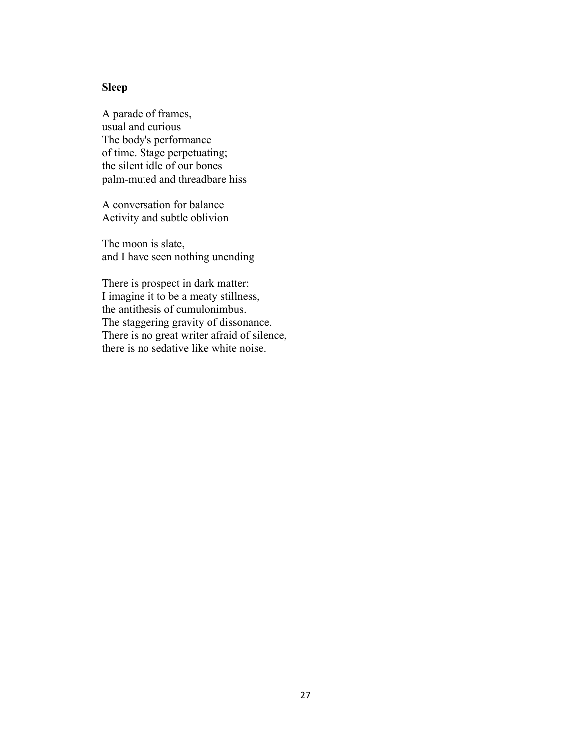### **Sleep**

A parade of frames, usual and curious The body's performance of time. Stage perpetuating; the silent idle of our bones palm-muted and threadbare hiss

A conversation for balance Activity and subtle oblivion

The moon is slate, and I have seen nothing unending

There is prospect in dark matter: I imagine it to be a meaty stillness, the antithesis of cumulonimbus. The staggering gravity of dissonance. There is no great writer afraid of silence, there is no sedative like white noise.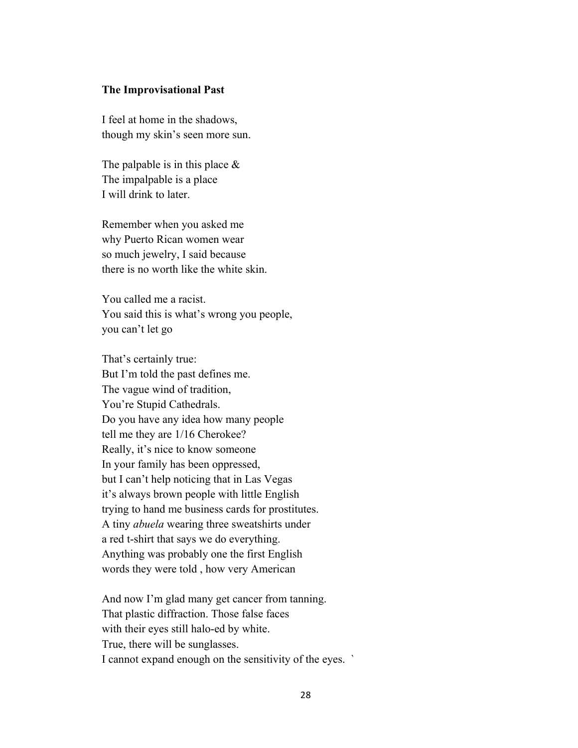#### **The Improvisational Past**

I feel at home in the shadows, though my skin's seen more sun.

The palpable is in this place  $\&$ The impalpable is a place I will drink to later.

Remember when you asked me why Puerto Rican women wear so much jewelry, I said because there is no worth like the white skin.

You called me a racist. You said this is what's wrong you people, you can't let go

That's certainly true: But I'm told the past defines me. The vague wind of tradition, You're Stupid Cathedrals. Do you have any idea how many people tell me they are 1/16 Cherokee? Really, it's nice to know someone In your family has been oppressed, but I can't help noticing that in Las Vegas it's always brown people with little English trying to hand me business cards for prostitutes. A tiny *abuela* wearing three sweatshirts under a red t-shirt that says we do everything. Anything was probably one the first English words they were told , how very American

And now I'm glad many get cancer from tanning. That plastic diffraction. Those false faces with their eyes still halo-ed by white. True, there will be sunglasses. I cannot expand enough on the sensitivity of the eyes. `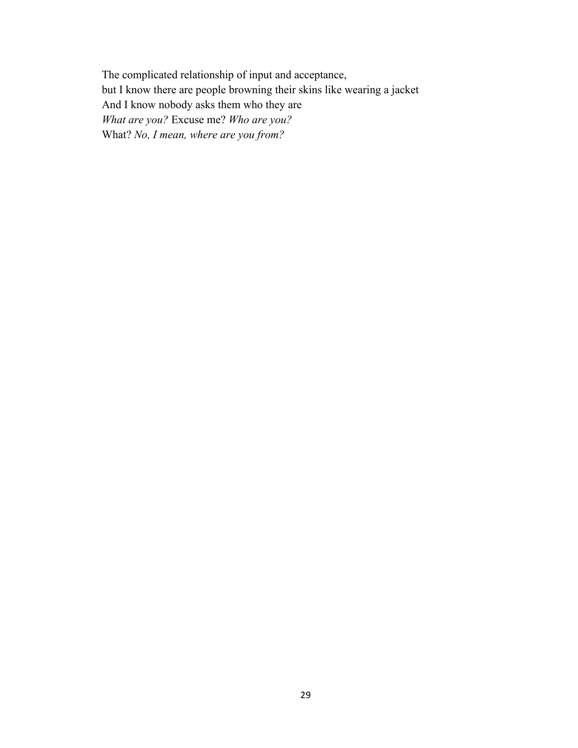The complicated relationship of input and acceptance, but I know there are people browning their skins like wearing a jacket And I know nobody asks them who they are *What are you?* Excuse me? *Who are you?*  What? *No, I mean, where are you from?*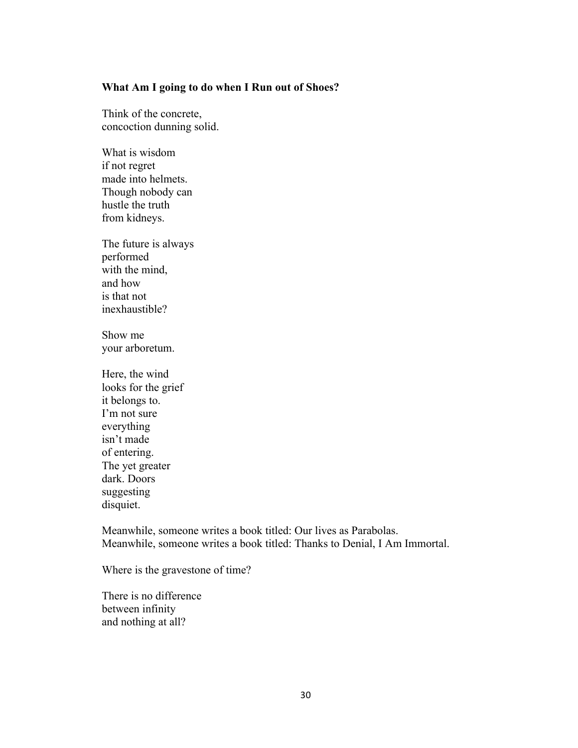#### **What Am I going to do when I Run out of Shoes?**

Think of the concrete, concoction dunning solid.

What is wisdom if not regret made into helmets. Though nobody can hustle the truth from kidneys.

The future is always performed with the mind, and how is that not inexhaustible?

Show me your arboretum.

Here, the wind looks for the grief it belongs to. I'm not sure everything isn't made of entering. The yet greater dark. Doors suggesting disquiet.

Meanwhile, someone writes a book titled: Our lives as Parabolas. Meanwhile, someone writes a book titled: Thanks to Denial, I Am Immortal.

Where is the gravestone of time?

There is no difference between infinity and nothing at all?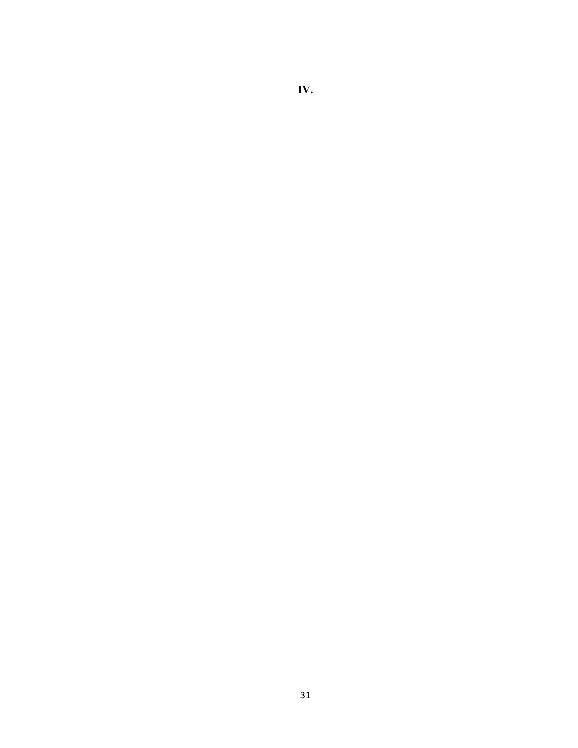# **IV.**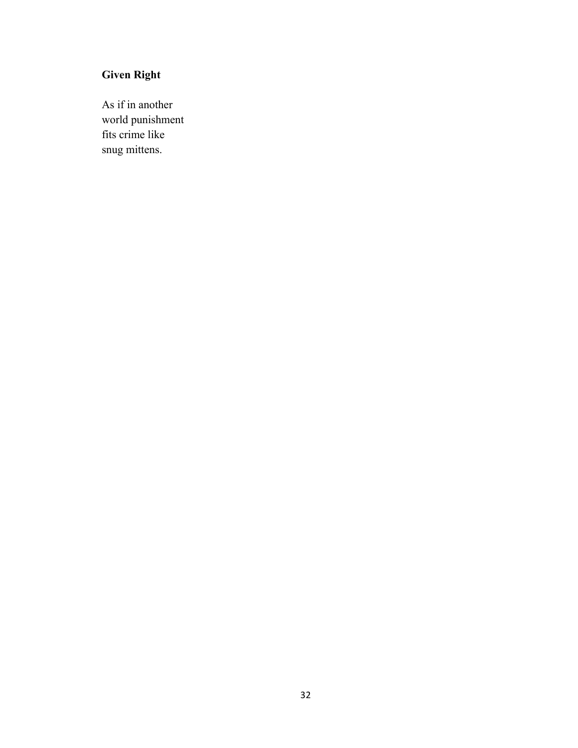# **Given Right**

As if in another world punishment fits crime like snug mittens.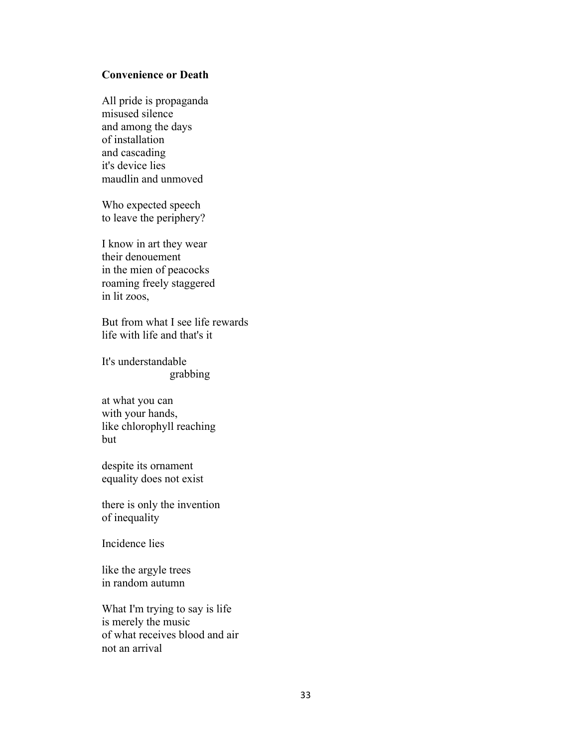### **Convenience or Death**

All pride is propaganda misused silence and among the days of installation and cascading it's device lies maudlin and unmoved

Who expected speech to leave the periphery?

I know in art they wear their denouement in the mien of peacocks roaming freely staggered in lit zoos,

But from what I see life rewards life with life and that's it

It's understandable grabbing

at what you can with your hands, like chlorophyll reaching but

despite its ornament equality does not exist

there is only the invention of inequality

Incidence lies

like the argyle trees in random autumn

What I'm trying to say is life is merely the music of what receives blood and air not an arrival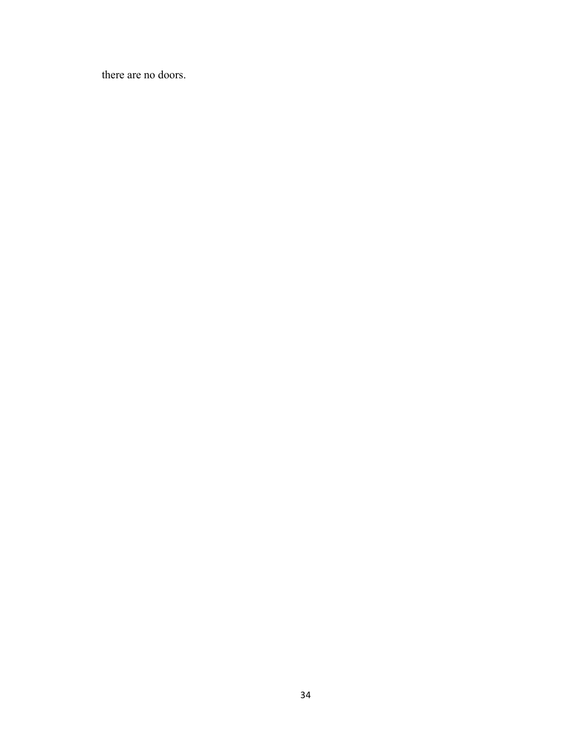there are no doors.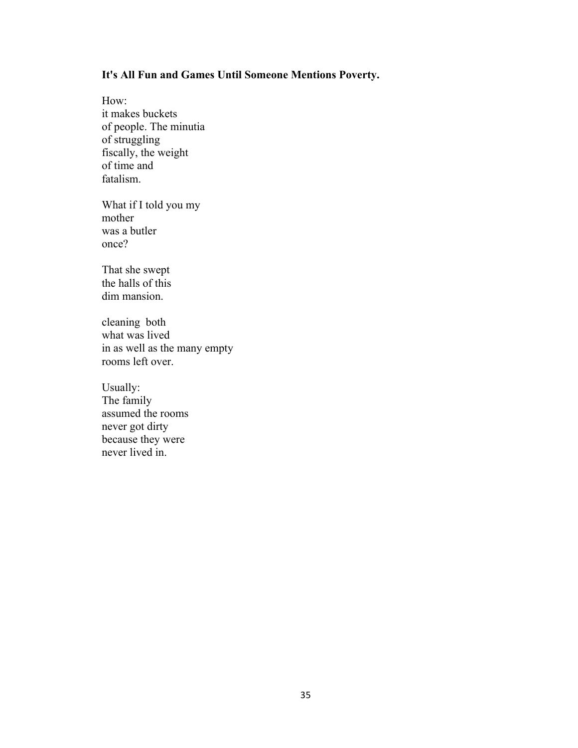### **It's All Fun and Games Until Someone Mentions Poverty.**

How: it makes buckets of people. The minutia of struggling fiscally, the weight of time and fatalism.

What if I told you my mother was a butler once?

That she swept the halls of this dim mansion.

cleaning both what was lived in as well as the many empty rooms left over.

Usually: The family assumed the rooms never got dirty because they were never lived in.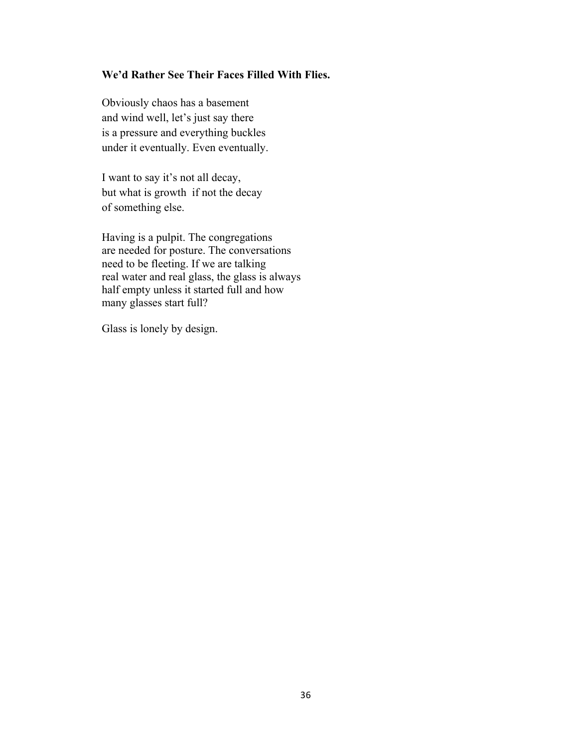### **We'd Rather See Their Faces Filled With Flies.**

Obviously chaos has a basement and wind well, let's just say there is a pressure and everything buckles under it eventually. Even eventually.

I want to say it's not all decay, but what is growth if not the decay of something else.

Having is a pulpit. The congregations are needed for posture. The conversations need to be fleeting. If we are talking real water and real glass, the glass is always half empty unless it started full and how many glasses start full?

Glass is lonely by design.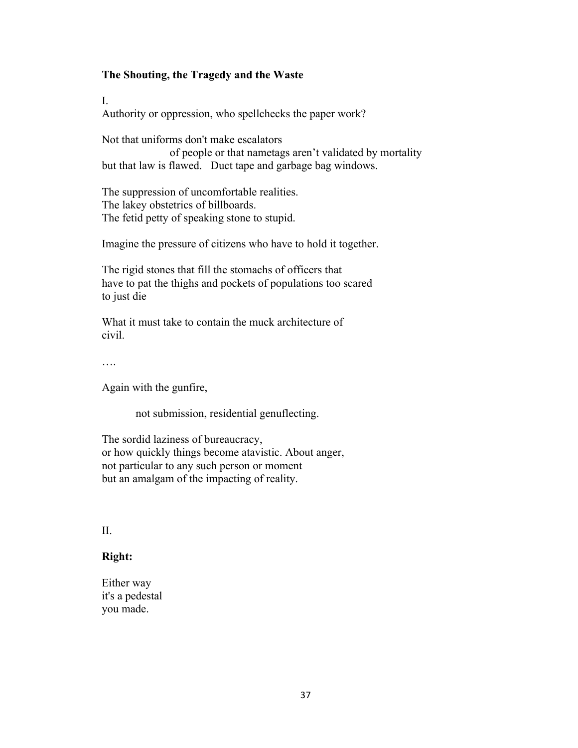### **The Shouting, the Tragedy and the Waste**

I.

Authority or oppression, who spellchecks the paper work?

Not that uniforms don't make escalators of people or that nametags aren't validated by mortality but that law is flawed. Duct tape and garbage bag windows.

The suppression of uncomfortable realities. The lakey obstetrics of billboards. The fetid petty of speaking stone to stupid.

Imagine the pressure of citizens who have to hold it together.

The rigid stones that fill the stomachs of officers that have to pat the thighs and pockets of populations too scared to just die

What it must take to contain the muck architecture of civil.

….

Again with the gunfire,

not submission, residential genuflecting.

The sordid laziness of bureaucracy, or how quickly things become atavistic. About anger, not particular to any such person or moment but an amalgam of the impacting of reality.

II.

### **Right:**

Either way it's a pedestal you made.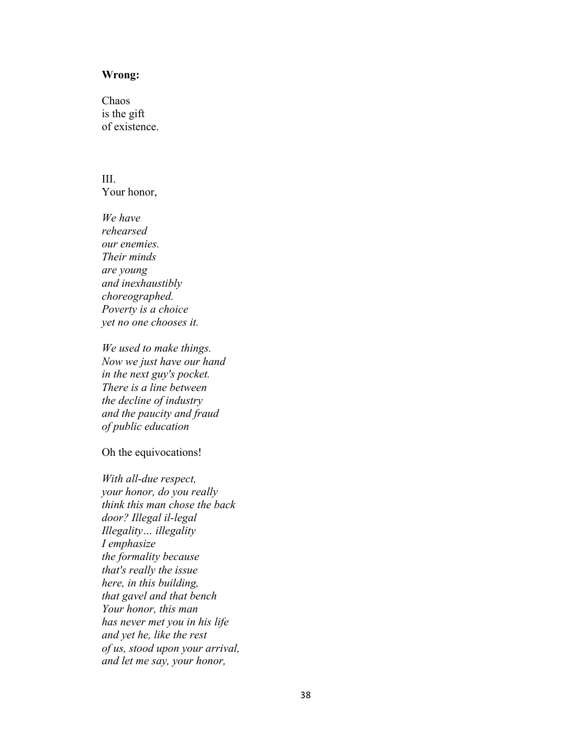#### **Wrong:**

**Chaos** is the gift of existence.

III. Your honor,

*We have rehearsed our enemies. Their minds are young and inexhaustibly choreographed. Poverty is a choice yet no one chooses it.*

*We used to make things. Now we just have our hand in the next guy's pocket. There is a line between the decline of industry and the paucity and fraud of public education*

Oh the equivocations!

*With all-due respect, your honor, do you really think this man chose the back door? Illegal il-legal Illegality… illegality I emphasize the formality because that's really the issue here, in this building, that gavel and that bench Your honor, this man has never met you in his life and yet he, like the rest of us, stood upon your arrival, and let me say, your honor,*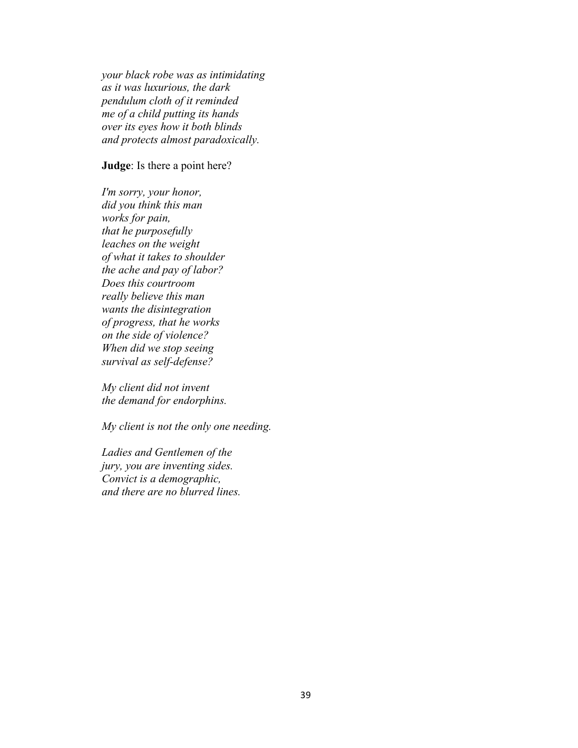*your black robe was as intimidating as it was luxurious, the dark pendulum cloth of it reminded me of a child putting its hands over its eyes how it both blinds and protects almost paradoxically.*

#### **Judge**: Is there a point here?

*I'm sorry, your honor, did you think this man works for pain, that he purposefully leaches on the weight of what it takes to shoulder the ache and pay of labor? Does this courtroom really believe this man wants the disintegration of progress, that he works on the side of violence? When did we stop seeing survival as self-defense?*

*My client did not invent the demand for endorphins.*

*My client is not the only one needing.*

*Ladies and Gentlemen of the jury, you are inventing sides. Convict is a demographic, and there are no blurred lines.*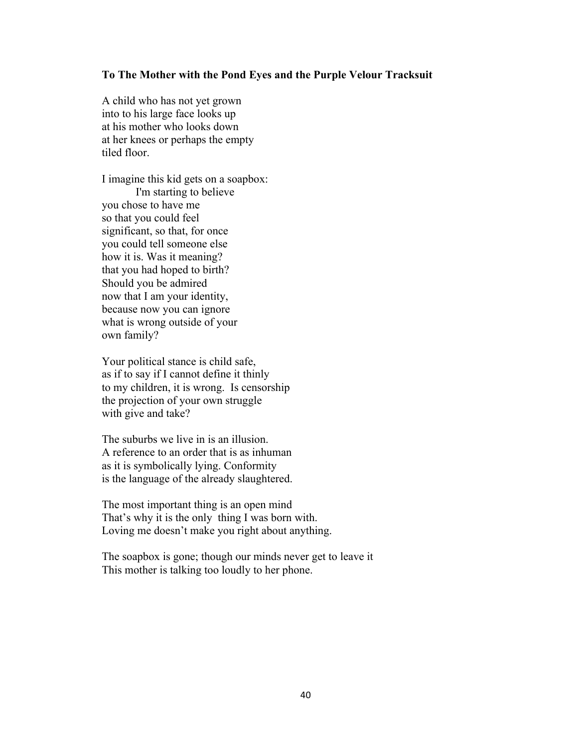#### **To The Mother with the Pond Eyes and the Purple Velour Tracksuit**

A child who has not yet grown into to his large face looks up at his mother who looks down at her knees or perhaps the empty tiled floor.

I imagine this kid gets on a soapbox: I'm starting to believe you chose to have me so that you could feel significant, so that, for once you could tell someone else how it is. Was it meaning? that you had hoped to birth? Should you be admired now that I am your identity, because now you can ignore what is wrong outside of your own family?

Your political stance is child safe, as if to say if I cannot define it thinly to my children, it is wrong. Is censorship the projection of your own struggle with give and take?

The suburbs we live in is an illusion. A reference to an order that is as inhuman as it is symbolically lying. Conformity is the language of the already slaughtered.

The most important thing is an open mind That's why it is the only thing I was born with. Loving me doesn't make you right about anything.

The soapbox is gone; though our minds never get to leave it This mother is talking too loudly to her phone.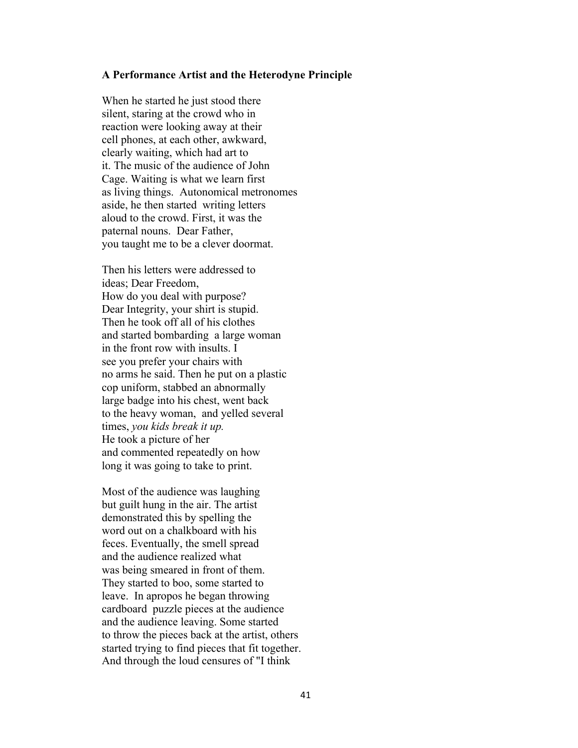#### **A Performance Artist and the Heterodyne Principle**

When he started he just stood there silent, staring at the crowd who in reaction were looking away at their cell phones, at each other, awkward, clearly waiting, which had art to it. The music of the audience of John Cage. Waiting is what we learn first as living things. Autonomical metronomes aside, he then started writing letters aloud to the crowd. First, it was the paternal nouns. Dear Father, you taught me to be a clever doormat.

Then his letters were addressed to ideas; Dear Freedom, How do you deal with purpose? Dear Integrity, your shirt is stupid. Then he took off all of his clothes and started bombarding a large woman in the front row with insults. I see you prefer your chairs with no arms he said. Then he put on a plastic cop uniform, stabbed an abnormally large badge into his chest, went back to the heavy woman, and yelled several times, *you kids break it up.* He took a picture of her and commented repeatedly on how long it was going to take to print.

Most of the audience was laughing but guilt hung in the air. The artist demonstrated this by spelling the word out on a chalkboard with his feces. Eventually, the smell spread and the audience realized what was being smeared in front of them. They started to boo, some started to leave. In apropos he began throwing cardboard puzzle pieces at the audience and the audience leaving. Some started to throw the pieces back at the artist, others started trying to find pieces that fit together. And through the loud censures of "I think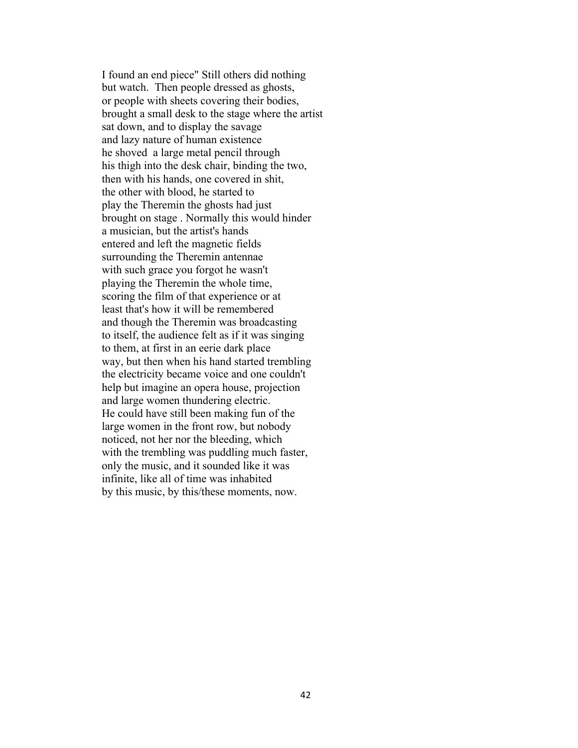I found an end piece" Still others did nothing but watch. Then people dressed as ghosts, or people with sheets covering their bodies, brought a small desk to the stage where the artist sat down, and to display the savage and lazy nature of human existence he shoved a large metal pencil through his thigh into the desk chair, binding the two, then with his hands, one covered in shit, the other with blood, he started to play the Theremin the ghosts had just brought on stage . Normally this would hinder a musician, but the artist's hands entered and left the magnetic fields surrounding the Theremin antennae with such grace you forgot he wasn't playing the Theremin the whole time, scoring the film of that experience or at least that's how it will be remembered and though the Theremin was broadcasting to itself, the audience felt as if it was singing to them, at first in an eerie dark place way, but then when his hand started trembling the electricity became voice and one couldn't help but imagine an opera house, projection and large women thundering electric. He could have still been making fun of the large women in the front row, but nobody noticed, not her nor the bleeding, which with the trembling was puddling much faster, only the music, and it sounded like it was infinite, like all of time was inhabited by this music, by this/these moments, now.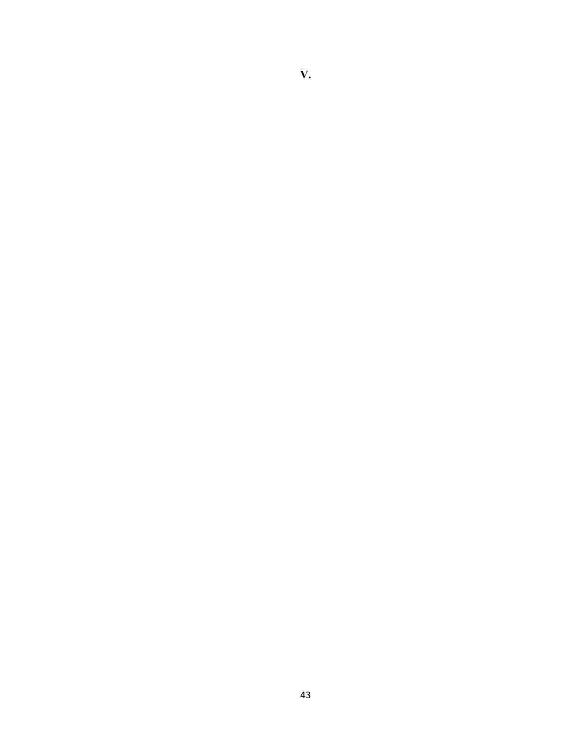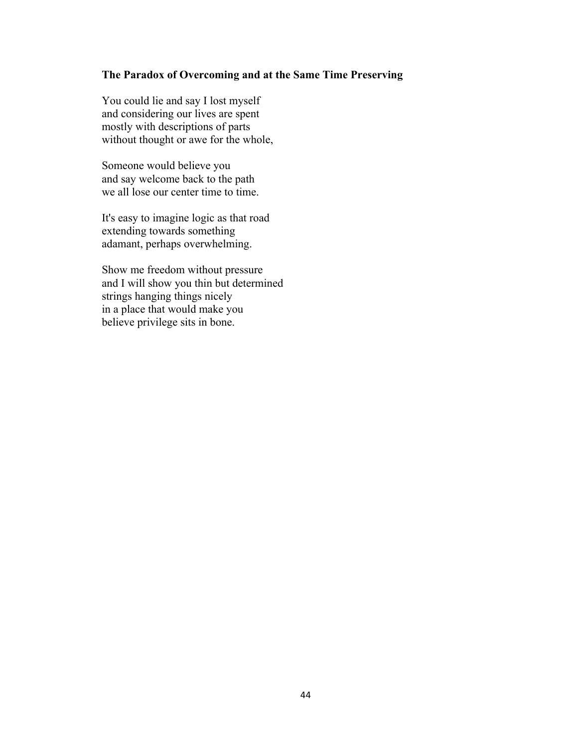### **The Paradox of Overcoming and at the Same Time Preserving**

You could lie and say I lost myself and considering our lives are spent mostly with descriptions of parts without thought or awe for the whole,

Someone would believe you and say welcome back to the path we all lose our center time to time.

It's easy to imagine logic as that road extending towards something adamant, perhaps overwhelming.

Show me freedom without pressure and I will show you thin but determined strings hanging things nicely in a place that would make you believe privilege sits in bone.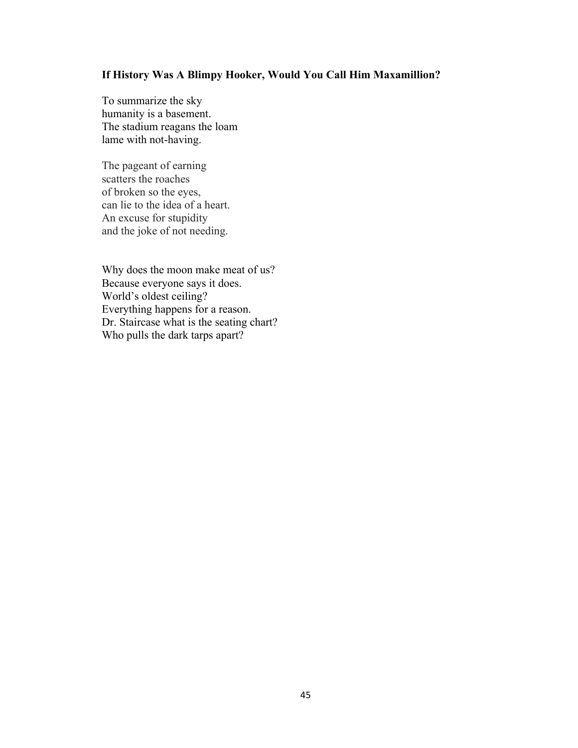### **If History Was A Blimpy Hooker, Would You Call Him Maxamillion?**

To summarize the sky humanity is a basement. The stadium reagans the loam lame with not-having.

The pageant of earning scatters the roaches of broken so the eyes, can lie to the idea of a heart. An excuse for stupidity and the joke of not needing.

Why does the moon make meat of us? Because everyone says it does. World's oldest ceiling? Everything happens for a reason. Dr. Staircase what is the seating chart? Who pulls the dark tarps apart?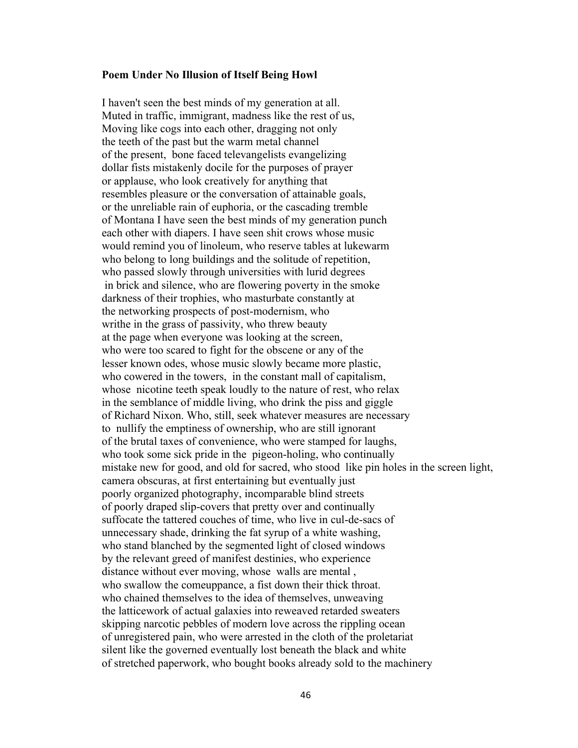#### **Poem Under No Illusion of Itself Being Howl**

I haven't seen the best minds of my generation at all. Muted in traffic, immigrant, madness like the rest of us, Moving like cogs into each other, dragging not only the teeth of the past but the warm metal channel of the present, bone faced televangelists evangelizing dollar fists mistakenly docile for the purposes of prayer or applause, who look creatively for anything that resembles pleasure or the conversation of attainable goals, or the unreliable rain of euphoria, or the cascading tremble of Montana I have seen the best minds of my generation punch each other with diapers. I have seen shit crows whose music would remind you of linoleum, who reserve tables at lukewarm who belong to long buildings and the solitude of repetition, who passed slowly through universities with lurid degrees in brick and silence, who are flowering poverty in the smoke darkness of their trophies, who masturbate constantly at the networking prospects of post-modernism, who writhe in the grass of passivity, who threw beauty at the page when everyone was looking at the screen, who were too scared to fight for the obscene or any of the lesser known odes, whose music slowly became more plastic, who cowered in the towers, in the constant mall of capitalism, whose nicotine teeth speak loudly to the nature of rest, who relax in the semblance of middle living, who drink the piss and giggle of Richard Nixon. Who, still, seek whatever measures are necessary to nullify the emptiness of ownership, who are still ignorant of the brutal taxes of convenience, who were stamped for laughs, who took some sick pride in the pigeon-holing, who continually mistake new for good, and old for sacred, who stood like pin holes in the screen light, camera obscuras, at first entertaining but eventually just poorly organized photography, incomparable blind streets of poorly draped slip-covers that pretty over and continually suffocate the tattered couches of time, who live in cul-de-sacs of unnecessary shade, drinking the fat syrup of a white washing, who stand blanched by the segmented light of closed windows by the relevant greed of manifest destinies, who experience distance without ever moving, whose walls are mental , who swallow the comeuppance, a fist down their thick throat. who chained themselves to the idea of themselves, unweaving the latticework of actual galaxies into reweaved retarded sweaters skipping narcotic pebbles of modern love across the rippling ocean of unregistered pain, who were arrested in the cloth of the proletariat silent like the governed eventually lost beneath the black and white of stretched paperwork, who bought books already sold to the machinery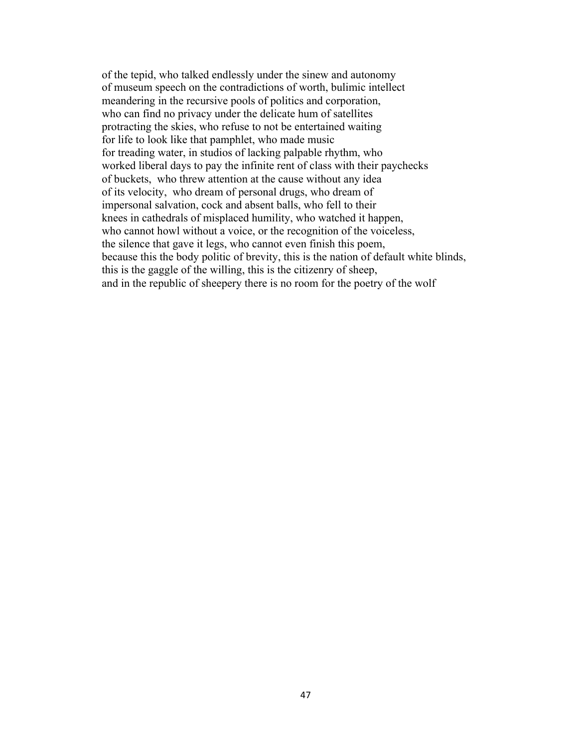of the tepid, who talked endlessly under the sinew and autonomy of museum speech on the contradictions of worth, bulimic intellect meandering in the recursive pools of politics and corporation, who can find no privacy under the delicate hum of satellites protracting the skies, who refuse to not be entertained waiting for life to look like that pamphlet, who made music for treading water, in studios of lacking palpable rhythm, who worked liberal days to pay the infinite rent of class with their paychecks of buckets, who threw attention at the cause without any idea of its velocity, who dream of personal drugs, who dream of impersonal salvation, cock and absent balls, who fell to their knees in cathedrals of misplaced humility, who watched it happen, who cannot howl without a voice, or the recognition of the voiceless, the silence that gave it legs, who cannot even finish this poem, because this the body politic of brevity, this is the nation of default white blinds, this is the gaggle of the willing, this is the citizenry of sheep, and in the republic of sheepery there is no room for the poetry of the wolf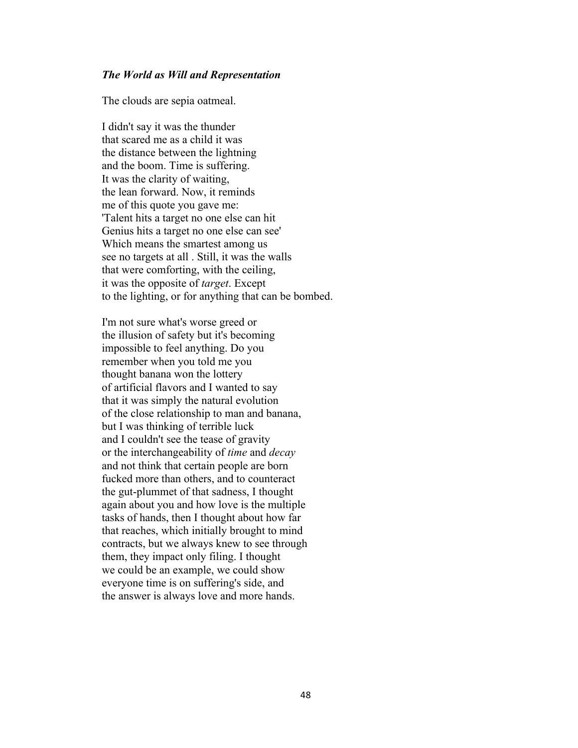### *The World as Will and Representation*

The clouds are sepia oatmeal.

I didn't say it was the thunder that scared me as a child it was the distance between the lightning and the boom. Time is suffering. It was the clarity of waiting, the lean forward. Now, it reminds me of this quote you gave me: 'Talent hits a target no one else can hit Genius hits a target no one else can see' Which means the smartest among us see no targets at all . Still, it was the walls that were comforting, with the ceiling, it was the opposite of *target*. Except to the lighting, or for anything that can be bombed.

I'm not sure what's worse greed or the illusion of safety but it's becoming impossible to feel anything. Do you remember when you told me you thought banana won the lottery of artificial flavors and I wanted to say that it was simply the natural evolution of the close relationship to man and banana, but I was thinking of terrible luck and I couldn't see the tease of gravity or the interchangeability of *time* and *decay* and not think that certain people are born fucked more than others, and to counteract the gut-plummet of that sadness, I thought again about you and how love is the multiple tasks of hands, then I thought about how far that reaches, which initially brought to mind contracts, but we always knew to see through them, they impact only filing. I thought we could be an example, we could show everyone time is on suffering's side, and the answer is always love and more hands.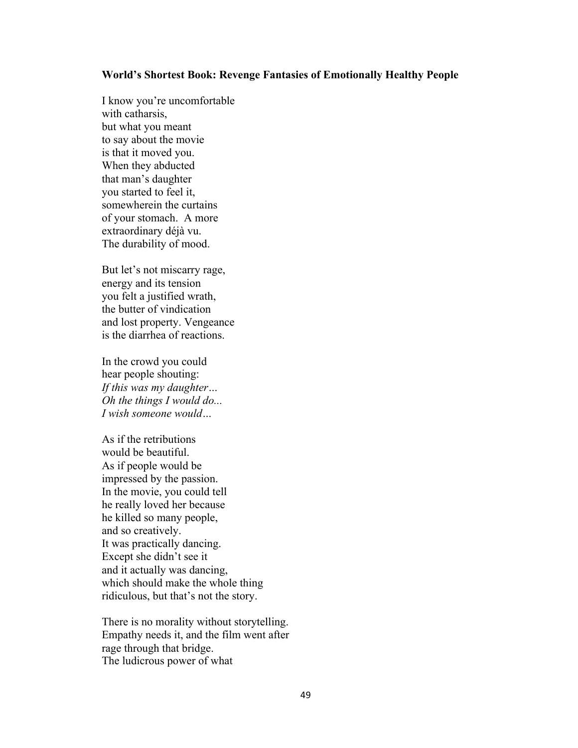#### **World's Shortest Book: Revenge Fantasies of Emotionally Healthy People**

I know you're uncomfortable with catharsis, but what you meant to say about the movie is that it moved you. When they abducted that man's daughter you started to feel it, somewherein the curtains of your stomach. A more extraordinary déjà vu. The durability of mood.

But let's not miscarry rage, energy and its tension you felt a justified wrath, the butter of vindication and lost property. Vengeance is the diarrhea of reactions.

In the crowd you could hear people shouting: *If this was my daughter… Oh the things I would do... I wish someone would…*

As if the retributions would be beautiful. As if people would be impressed by the passion. In the movie, you could tell he really loved her because he killed so many people, and so creatively. It was practically dancing. Except she didn't see it and it actually was dancing, which should make the whole thing ridiculous, but that's not the story.

There is no morality without storytelling. Empathy needs it, and the film went after rage through that bridge. The ludicrous power of what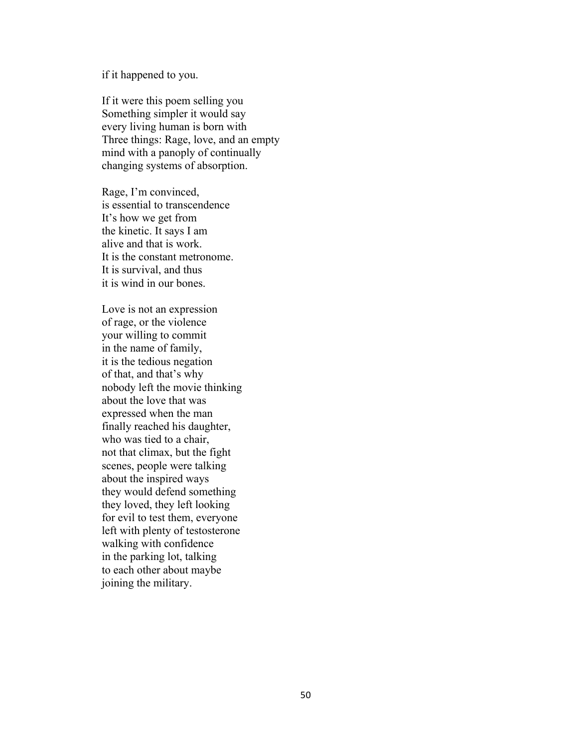if it happened to you.

If it were this poem selling you Something simpler it would say every living human is born with Three things: Rage, love, and an empty mind with a panoply of continually changing systems of absorption.

Rage, I'm convinced, is essential to transcendence It's how we get from the kinetic. It says I am alive and that is work. It is the constant metronome. It is survival, and thus it is wind in our bones.

Love is not an expression of rage, or the violence your willing to commit in the name of family, it is the tedious negation of that, and that's why nobody left the movie thinking about the love that was expressed when the man finally reached his daughter, who was tied to a chair, not that climax, but the fight scenes, people were talking about the inspired ways they would defend something they loved, they left looking for evil to test them, everyone left with plenty of testosterone walking with confidence in the parking lot, talking to each other about maybe joining the military.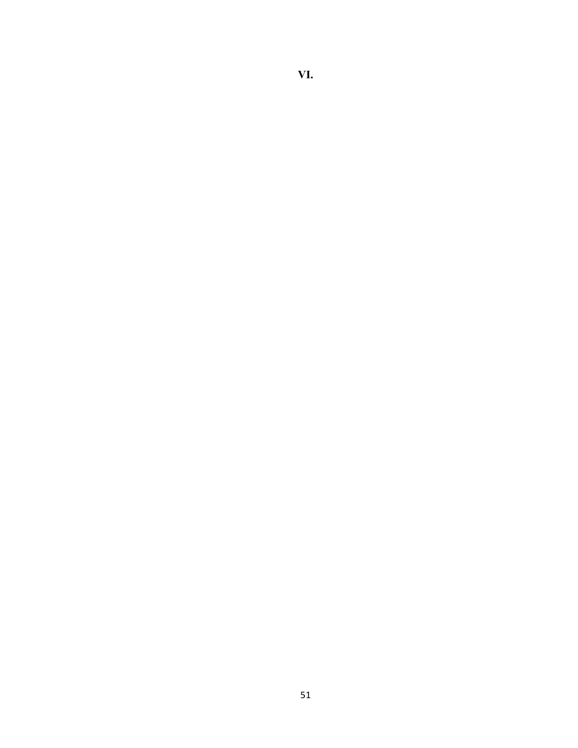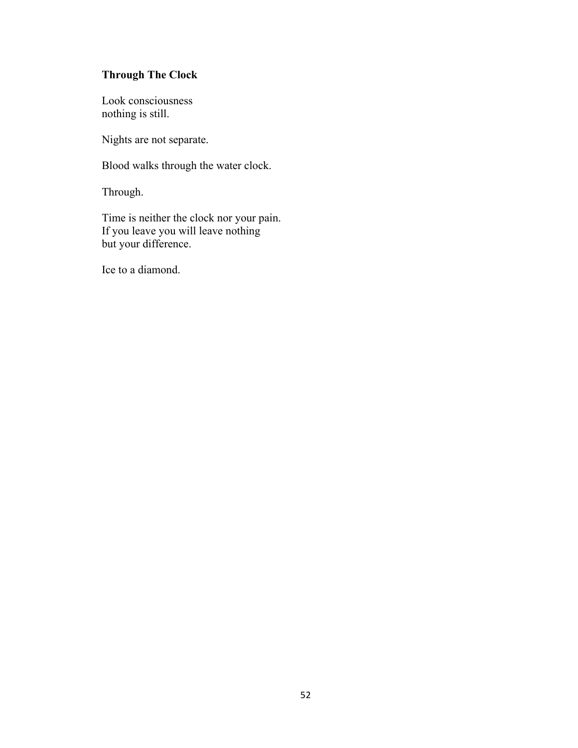# **Through The Clock**

Look consciousness nothing is still.

Nights are not separate.

Blood walks through the water clock.

Through.

Time is neither the clock nor your pain. If you leave you will leave nothing but your difference.

Ice to a diamond.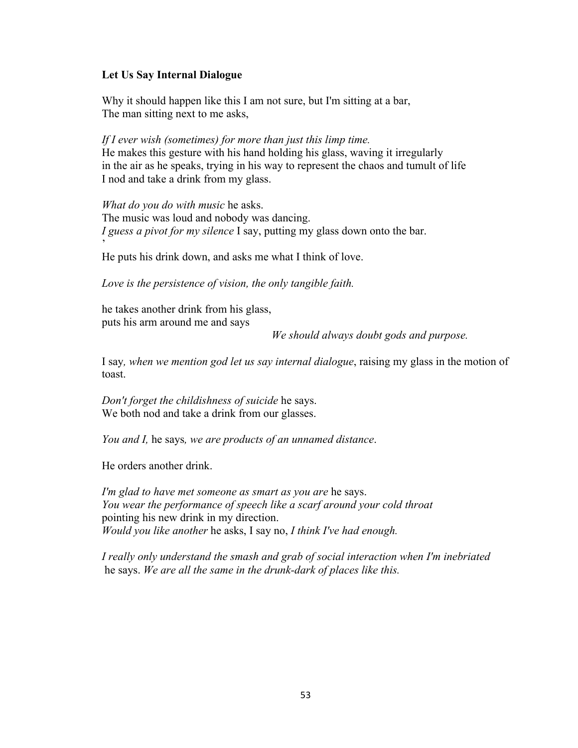### **Let Us Say Internal Dialogue**

Why it should happen like this I am not sure, but I'm sitting at a bar, The man sitting next to me asks,

*If I ever wish (sometimes) for more than just this limp time.* He makes this gesture with his hand holding his glass, waving it irregularly in the air as he speaks, trying in his way to represent the chaos and tumult of life I nod and take a drink from my glass.

*What do you do with music* he asks. The music was loud and nobody was dancing. *I guess a pivot for my silence* I say, putting my glass down onto the bar. '

He puts his drink down, and asks me what I think of love.

*Love is the persistence of vision, the only tangible faith.*

he takes another drink from his glass, puts his arm around me and says

*We should always doubt gods and purpose.* 

I say*, when we mention god let us say internal dialogue*, raising my glass in the motion of toast.

*Don't forget the childishness of suicide* he says. We both nod and take a drink from our glasses.

*You and I,* he says*, we are products of an unnamed distance*.

He orders another drink.

*I'm glad to have met someone as smart as you are* he says. *You wear the performance of speech like a scarf around your cold throat* pointing his new drink in my direction. *Would you like another* he asks, I say no, *I think I've had enough.*

*I really only understand the smash and grab of social interaction when I'm inebriated*  he says. *We are all the same in the drunk-dark of places like this.*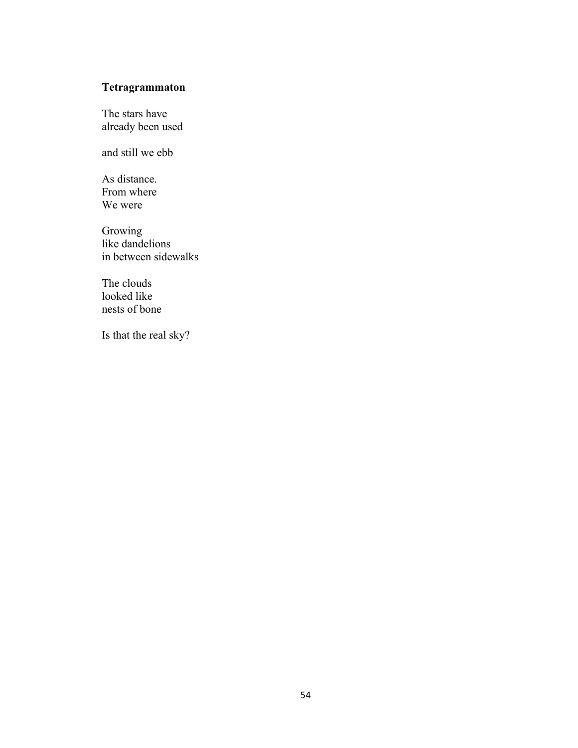## **Tetragrammaton**

The stars have already been used

and still we ebb

As distance. From where We were

Growing like dandelions in between sidewalks

The clouds looked like nests of bone

Is that the real sky?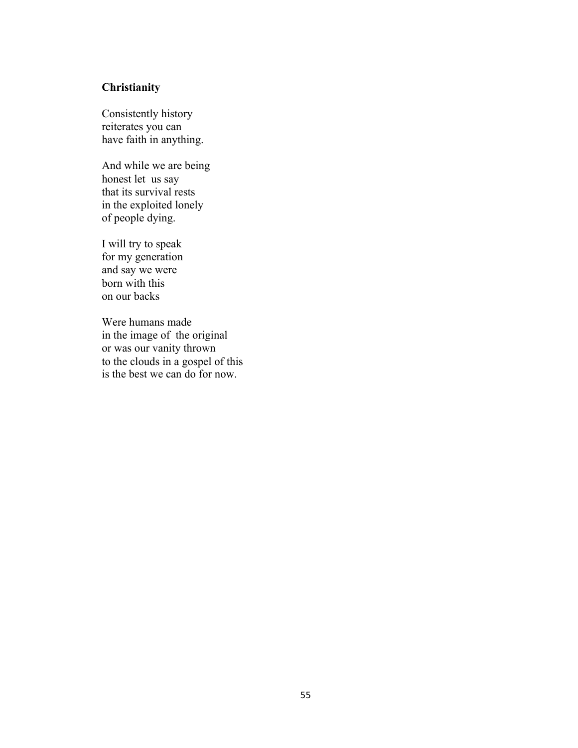### **Christianity**

Consistently history reiterates you can have faith in anything.

And while we are being honest let us say that its survival rests in the exploited lonely of people dying.

I will try to speak for my generation and say we were born with this on our backs

Were humans made in the image of the original or was our vanity thrown to the clouds in a gospel of this is the best we can do for now.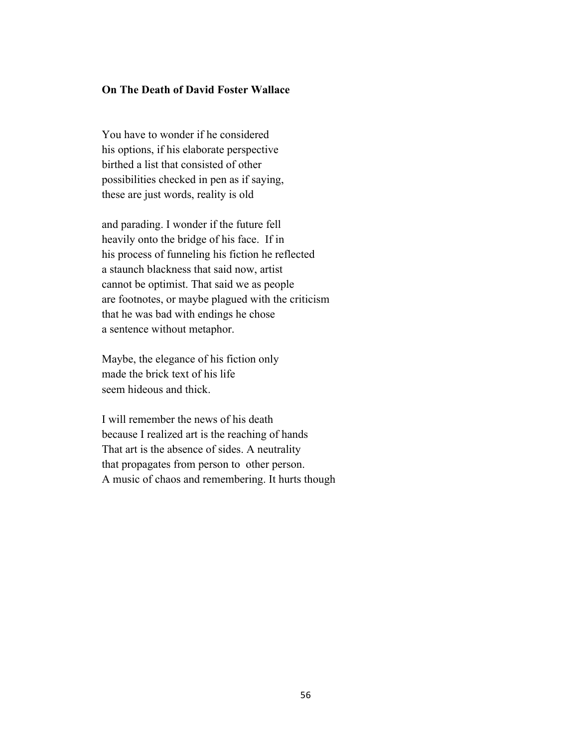### **On The Death of David Foster Wallace**

You have to wonder if he considered his options, if his elaborate perspective birthed a list that consisted of other possibilities checked in pen as if saying, these are just words, reality is old

and parading. I wonder if the future fell heavily onto the bridge of his face. If in his process of funneling his fiction he reflected a staunch blackness that said now, artist cannot be optimist. That said we as people are footnotes, or maybe plagued with the criticism that he was bad with endings he chose a sentence without metaphor.

Maybe, the elegance of his fiction only made the brick text of his life seem hideous and thick.

I will remember the news of his death because I realized art is the reaching of hands That art is the absence of sides. A neutrality that propagates from person to other person. A music of chaos and remembering. It hurts though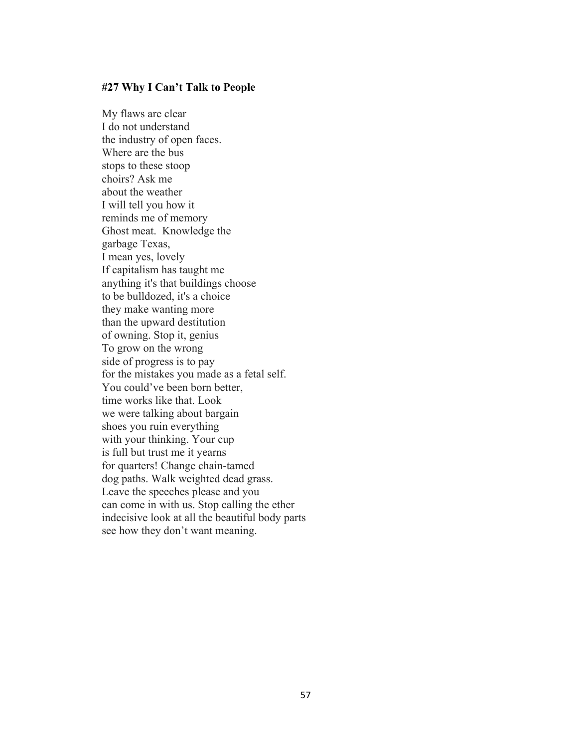#### **#27 Why I Can't Talk to People**

My flaws are clear I do not understand the industry of open faces. Where are the bus stops to these stoop choirs? Ask me about the weather I will tell you how it reminds me of memory Ghost meat. Knowledge the garbage Texas, I mean yes, lovely If capitalism has taught me anything it's that buildings choose to be bulldozed, it's a choice they make wanting more than the upward destitution of owning. Stop it, genius To grow on the wrong side of progress is to pay for the mistakes you made as a fetal self. You could've been born better, time works like that. Look we were talking about bargain shoes you ruin everything with your thinking. Your cup is full but trust me it yearns for quarters! Change chain-tamed dog paths. Walk weighted dead grass. Leave the speeches please and you can come in with us. Stop calling the ether indecisive look at all the beautiful body parts see how they don't want meaning.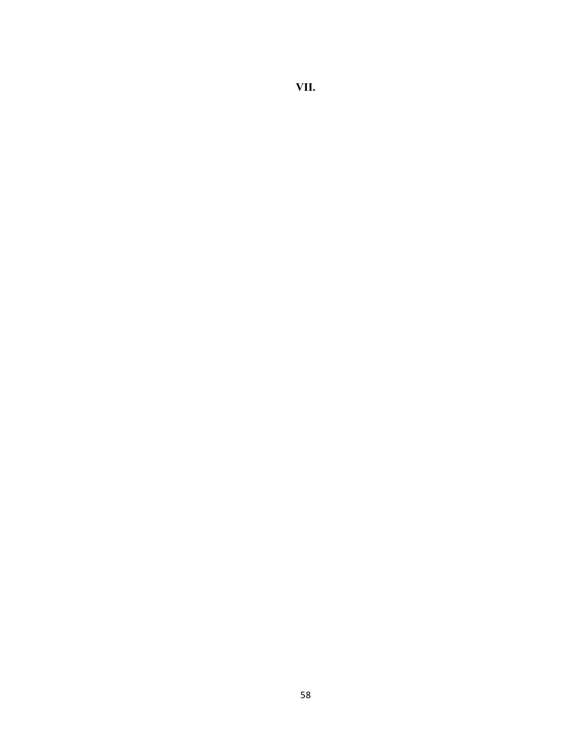# **VII.**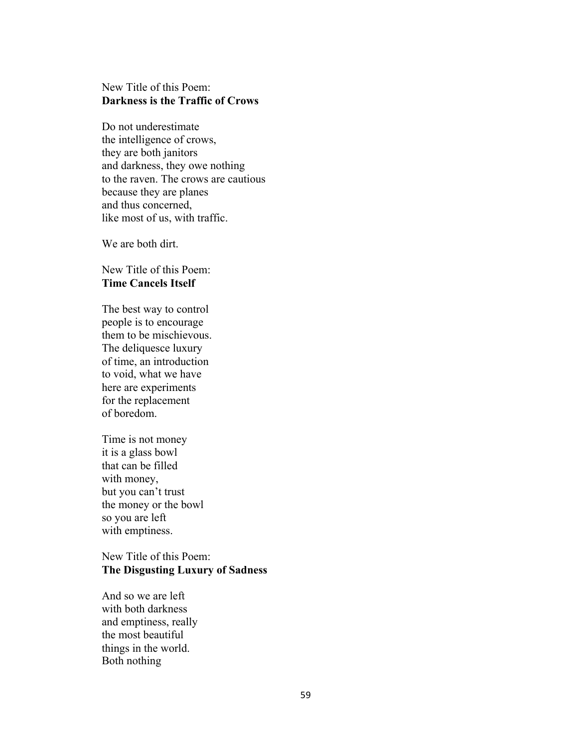### New Title of this Poem: **Darkness is the Traffic of Crows**

Do not underestimate the intelligence of crows, they are both janitors and darkness, they owe nothing to the raven. The crows are cautious because they are planes and thus concerned, like most of us, with traffic.

We are both dirt.

New Title of this Poem: **Time Cancels Itself**

The best way to control people is to encourage them to be mischievous. The deliquesce luxury of time, an introduction to void, what we have here are experiments for the replacement of boredom.

Time is not money it is a glass bowl that can be filled with money, but you can't trust the money or the bowl so you are left with emptiness.

### New Title of this Poem: **The Disgusting Luxury of Sadness**

And so we are left with both darkness and emptiness, really the most beautiful things in the world. Both nothing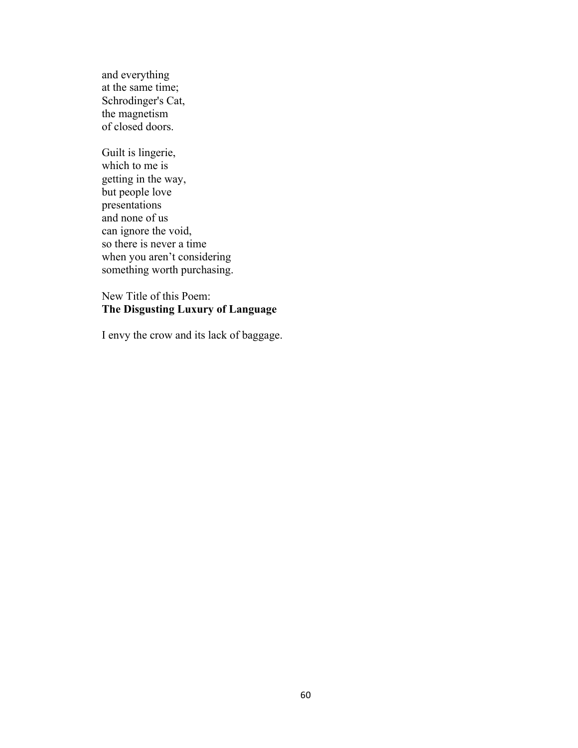and everything at the same time; Schrodinger's Cat, the magnetism of closed doors.

Guilt is lingerie, which to me is getting in the way, but people love presentations and none of us can ignore the void, so there is never a time when you aren't considering something worth purchasing.

New Title of this Poem: **The Disgusting Luxury of Language**

I envy the crow and its lack of baggage.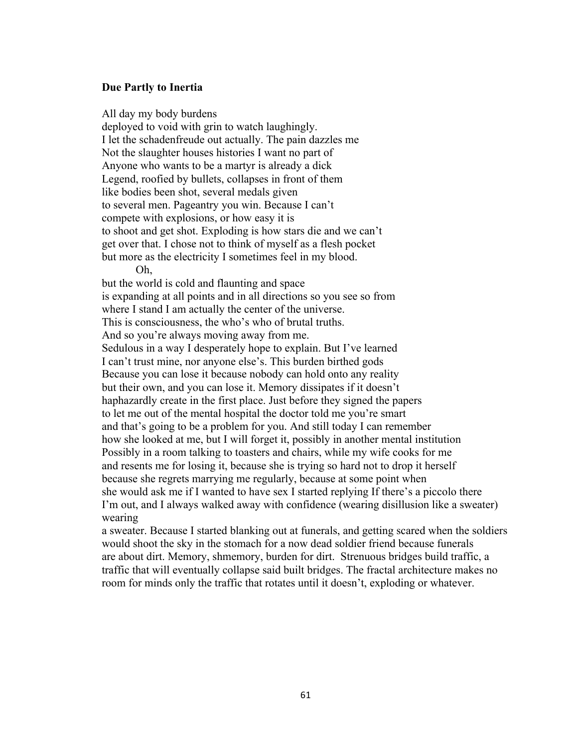#### **Due Partly to Inertia**

All day my body burdens deployed to void with grin to watch laughingly. I let the schadenfreude out actually. The pain dazzles me Not the slaughter houses histories I want no part of Anyone who wants to be a martyr is already a dick Legend, roofied by bullets, collapses in front of them like bodies been shot, several medals given to several men. Pageantry you win. Because I can't compete with explosions, or how easy it is to shoot and get shot. Exploding is how stars die and we can't get over that. I chose not to think of myself as a flesh pocket but more as the electricity I sometimes feel in my blood. Oh, but the world is cold and flaunting and space is expanding at all points and in all directions so you see so from where I stand I am actually the center of the universe. This is consciousness, the who's who of brutal truths. And so you're always moving away from me. Sedulous in a way I desperately hope to explain. But I've learned I can't trust mine, nor anyone else's. This burden birthed gods Because you can lose it because nobody can hold onto any reality but their own, and you can lose it. Memory dissipates if it doesn't haphazardly create in the first place. Just before they signed the papers to let me out of the mental hospital the doctor told me you're smart and that's going to be a problem for you. And still today I can remember how she looked at me, but I will forget it, possibly in another mental institution Possibly in a room talking to toasters and chairs, while my wife cooks for me and resents me for losing it, because she is trying so hard not to drop it herself

because she regrets marrying me regularly, because at some point when she would ask me if I wanted to have sex I started replying If there's a piccolo there I'm out, and I always walked away with confidence (wearing disillusion like a sweater) wearing

a sweater. Because I started blanking out at funerals, and getting scared when the soldiers would shoot the sky in the stomach for a now dead soldier friend because funerals are about dirt. Memory, shmemory, burden for dirt. Strenuous bridges build traffic, a traffic that will eventually collapse said built bridges. The fractal architecture makes no room for minds only the traffic that rotates until it doesn't, exploding or whatever.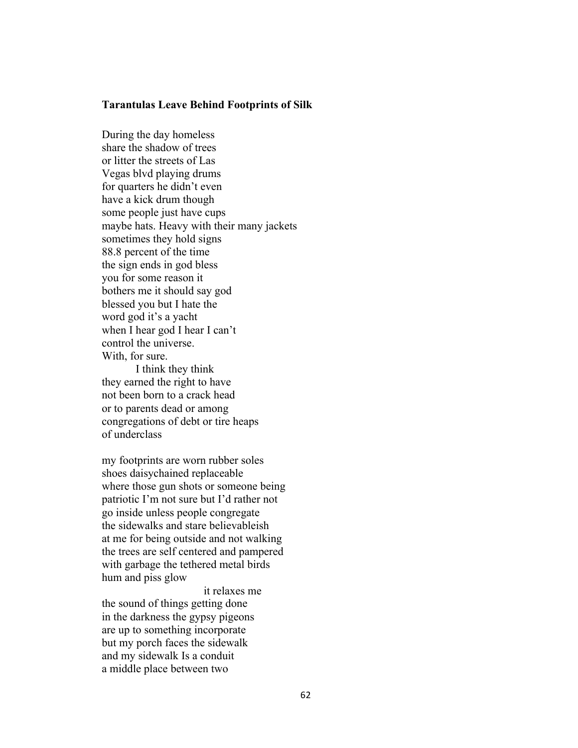#### **Tarantulas Leave Behind Footprints of Silk**

During the day homeless share the shadow of trees or litter the streets of Las Vegas blvd playing drums for quarters he didn't even have a kick drum though some people just have cups maybe hats. Heavy with their many jackets sometimes they hold signs 88.8 percent of the time the sign ends in god bless you for some reason it bothers me it should say god blessed you but I hate the word god it's a yacht when I hear god I hear I can't control the universe. With, for sure.

I think they think they earned the right to have not been born to a crack head or to parents dead or among congregations of debt or tire heaps of underclass

my footprints are worn rubber soles shoes daisychained replaceable where those gun shots or someone being patriotic I'm not sure but I'd rather not go inside unless people congregate the sidewalks and stare believableish at me for being outside and not walking the trees are self centered and pampered with garbage the tethered metal birds hum and piss glow

it relaxes me

the sound of things getting done in the darkness the gypsy pigeons are up to something incorporate but my porch faces the sidewalk and my sidewalk Is a conduit a middle place between two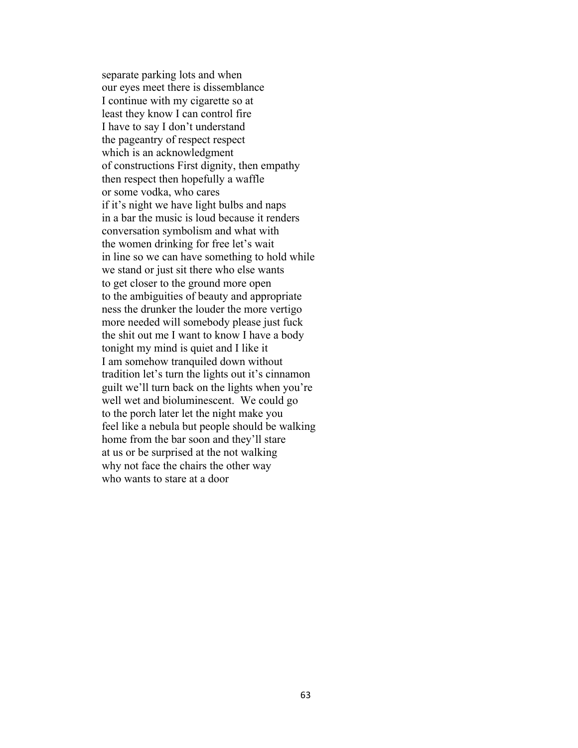separate parking lots and when our eyes meet there is dissemblance I continue with my cigarette so at least they know I can control fire I have to say I don't understand the pageantry of respect respect which is an acknowledgment of constructions First dignity, then empathy then respect then hopefully a waffle or some vodka, who cares if it's night we have light bulbs and naps in a bar the music is loud because it renders conversation symbolism and what with the women drinking for free let's wait in line so we can have something to hold while we stand or just sit there who else wants to get closer to the ground more open to the ambiguities of beauty and appropriate ness the drunker the louder the more vertigo more needed will somebody please just fuck the shit out me I want to know I have a body tonight my mind is quiet and I like it I am somehow tranquiled down without tradition let's turn the lights out it's cinnamon guilt we'll turn back on the lights when you're well wet and bioluminescent. We could go to the porch later let the night make you feel like a nebula but people should be walking home from the bar soon and they'll stare at us or be surprised at the not walking why not face the chairs the other way who wants to stare at a door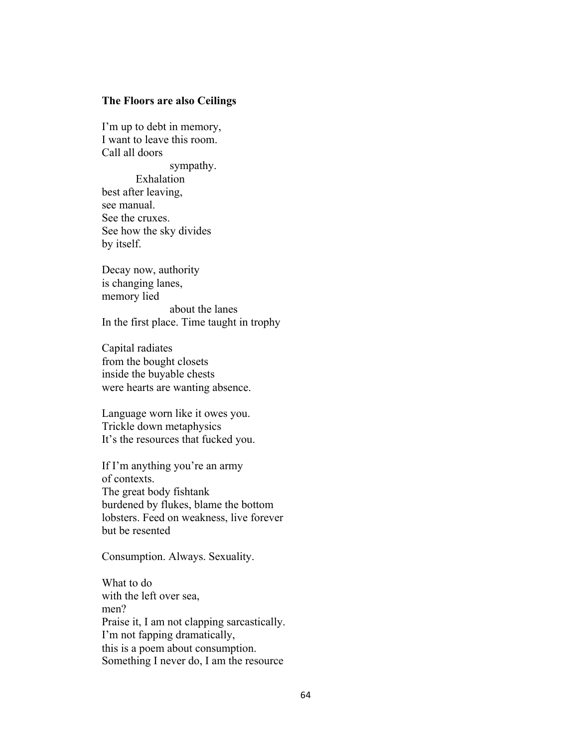### **The Floors are also Ceilings**

I'm up to debt in memory, I want to leave this room. Call all doors

sympathy. Exhalation best after leaving, see manual. See the cruxes. See how the sky divides by itself.

Decay now, authority is changing lanes, memory lied about the lanes In the first place. Time taught in trophy

Capital radiates from the bought closets inside the buyable chests were hearts are wanting absence.

Language worn like it owes you. Trickle down metaphysics It's the resources that fucked you.

If I'm anything you're an army of contexts. The great body fishtank burdened by flukes, blame the bottom lobsters. Feed on weakness, live forever but be resented

Consumption. Always. Sexuality.

What to do with the left over sea, men? Praise it, I am not clapping sarcastically. I'm not fapping dramatically, this is a poem about consumption. Something I never do, I am the resource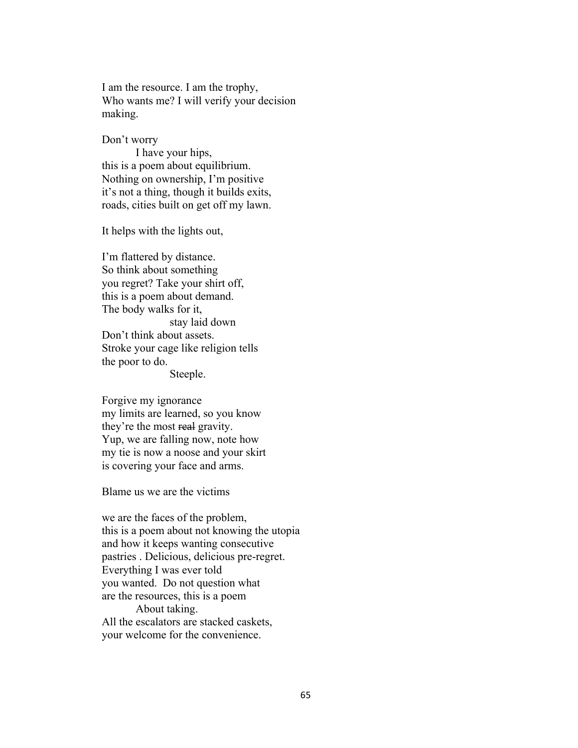I am the resource. I am the trophy, Who wants me? I will verify your decision making.

Don't worry

I have your hips, this is a poem about equilibrium. Nothing on ownership, I'm positive it's not a thing, though it builds exits, roads, cities built on get off my lawn.

It helps with the lights out,

I'm flattered by distance. So think about something you regret? Take your shirt off, this is a poem about demand. The body walks for it, stay laid down Don't think about assets. Stroke your cage like religion tells the poor to do.

Steeple.

Forgive my ignorance my limits are learned, so you know they're the most real gravity. Yup, we are falling now, note how my tie is now a noose and your skirt is covering your face and arms.

Blame us we are the victims

we are the faces of the problem, this is a poem about not knowing the utopia and how it keeps wanting consecutive pastries . Delicious, delicious pre-regret. Everything I was ever told you wanted. Do not question what are the resources, this is a poem About taking. All the escalators are stacked caskets, your welcome for the convenience.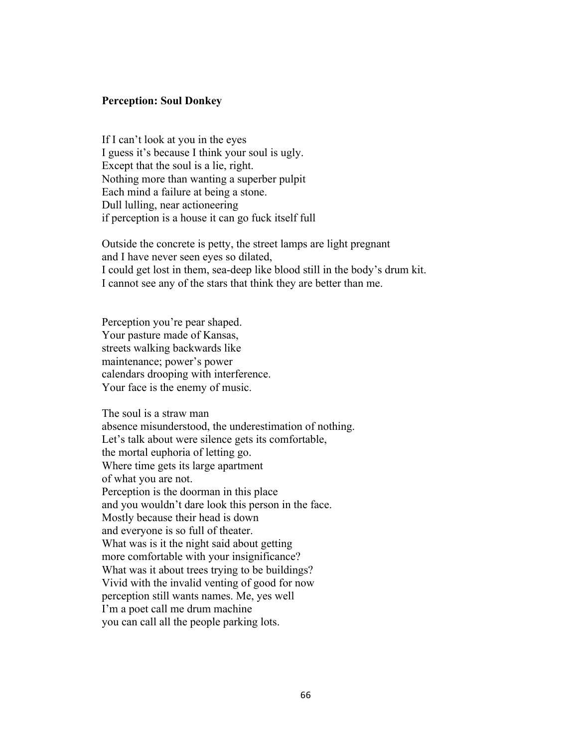### **Perception: Soul Donkey**

If I can't look at you in the eyes I guess it's because I think your soul is ugly. Except that the soul is a lie, right. Nothing more than wanting a superber pulpit Each mind a failure at being a stone. Dull lulling, near actioneering if perception is a house it can go fuck itself full

Outside the concrete is petty, the street lamps are light pregnant and I have never seen eyes so dilated, I could get lost in them, sea-deep like blood still in the body's drum kit. I cannot see any of the stars that think they are better than me.

Perception you're pear shaped. Your pasture made of Kansas, streets walking backwards like maintenance; power's power calendars drooping with interference. Your face is the enemy of music.

The soul is a straw man absence misunderstood, the underestimation of nothing. Let's talk about were silence gets its comfortable, the mortal euphoria of letting go. Where time gets its large apartment of what you are not. Perception is the doorman in this place and you wouldn't dare look this person in the face. Mostly because their head is down and everyone is so full of theater. What was is it the night said about getting more comfortable with your insignificance? What was it about trees trying to be buildings? Vivid with the invalid venting of good for now perception still wants names. Me, yes well I'm a poet call me drum machine you can call all the people parking lots.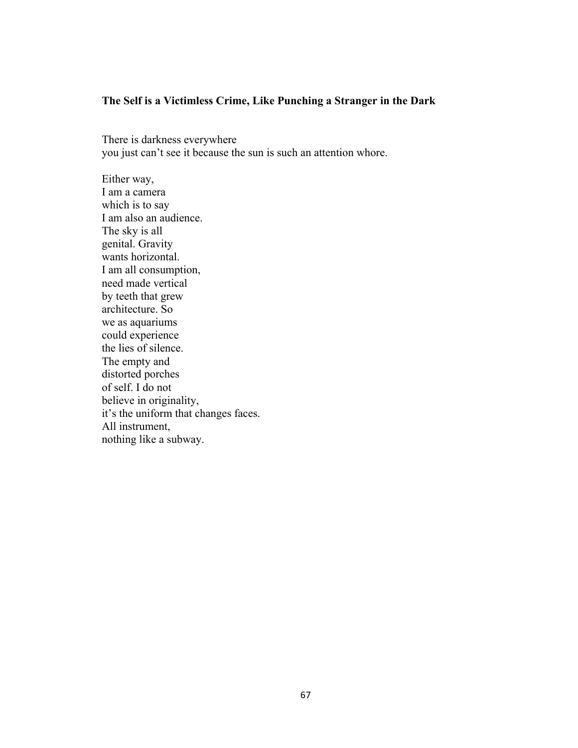# **The Self is a Victimless Crime, Like Punching a Stranger in the Dark**

There is darkness everywhere you just can't see it because the sun is such an attention whore.

Either way, I am a camera which is to say I am also an audience. The sky is all genital. Gravity wants horizontal. I am all consumption, need made vertical by teeth that grew architecture. So we as aquariums could experience the lies of silence. The empty and distorted porches of self. I do not believe in originality, it's the uniform that changes faces. All instrument, nothing like a subway.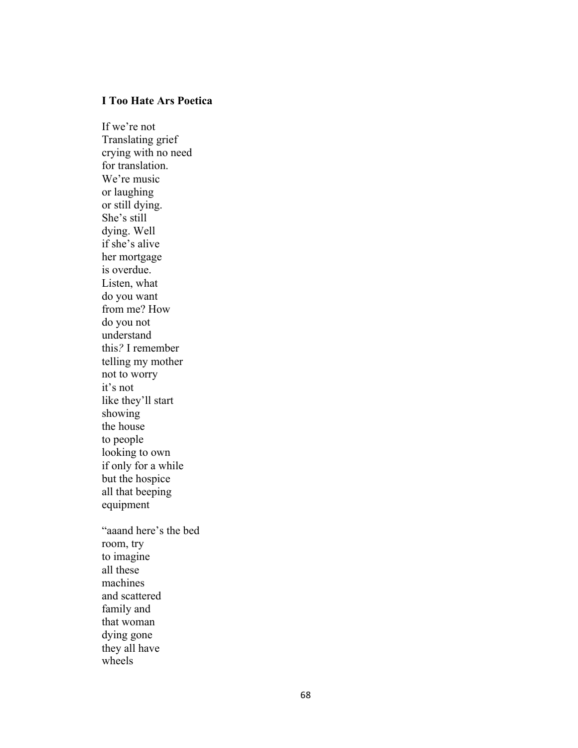## **I Too Hate Ars Poetica**

If we're not Translating grief crying with no need for translation . We're music or laughing or still dying. She's still dying. Well if she's alive her mortgage is overdue. Listen, what do you want from me? How do you not understand this *?* I remember telling my mother not to worry it's not like they'll start showing the house to people looking to own if only for a while but the hospice all that beeping equipment "aaand here's the bed room, try to imagine all these machines and scattered family and that woman dying gone they all have wheels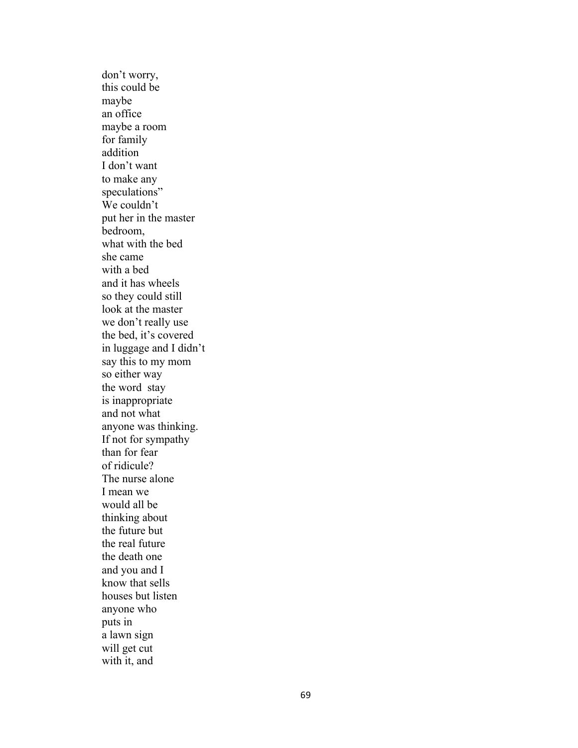don't worry, this could be maybe an office maybe a room for family addition I don't want to make any speculations" We couldn't put her in the master bedroom, what with the bed she came with a bed and it has wheels so they could still look at the master we don't really use the bed , it's covered in luggage and I didn't say this to my mom so either way the word stay is inappropriate and not what anyone was thinking. If not for sympathy than for fear of ridicule? The nurse alone I mean we would all be thinking about the future but the real future the death one and you and I know that sells houses but listen anyone who puts in a lawn sign will get cut with it, and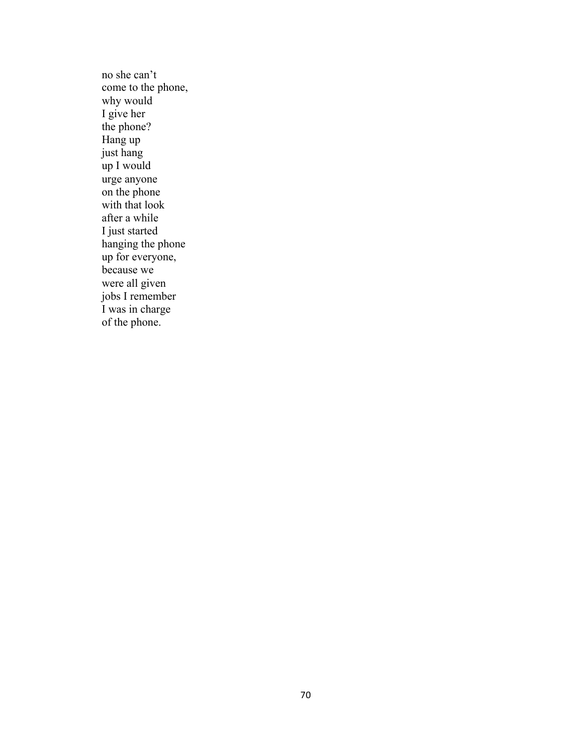no she can't come to the phone, why would I give her the phone? Hang up just hang up I would urge anyone on the phone with that look after a while I just started hanging the phone up for everyone, because we were all given jobs I remember I was in charge of the phone.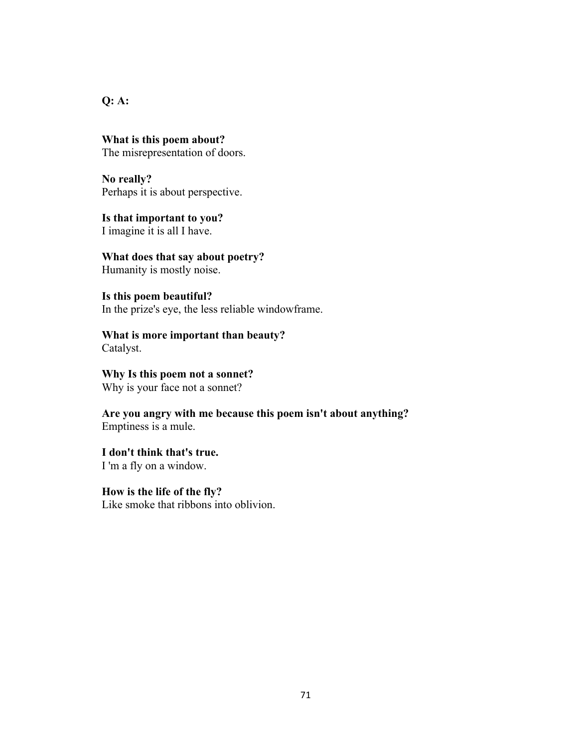**Q: A:** 

**What is this poem about?** The misrepresentation of doors.

**No really?** Perhaps it is about perspective.

**Is that important to you?** I imagine it is all I have.

**What does that say about poetry?** Humanity is mostly noise.

**Is this poem beautiful?** In the prize's eye, the less reliable windowframe.

**What is more important than beauty?** Catalyst.

**Why Is this poem not a sonnet?** Why is your face not a sonnet?

**Are you angry with me because this poem isn't about anything?** Emptiness is a mule.

**I don't think that's true.** I 'm a fly on a window.

**How is the life of the fly?** Like smoke that ribbons into oblivion.